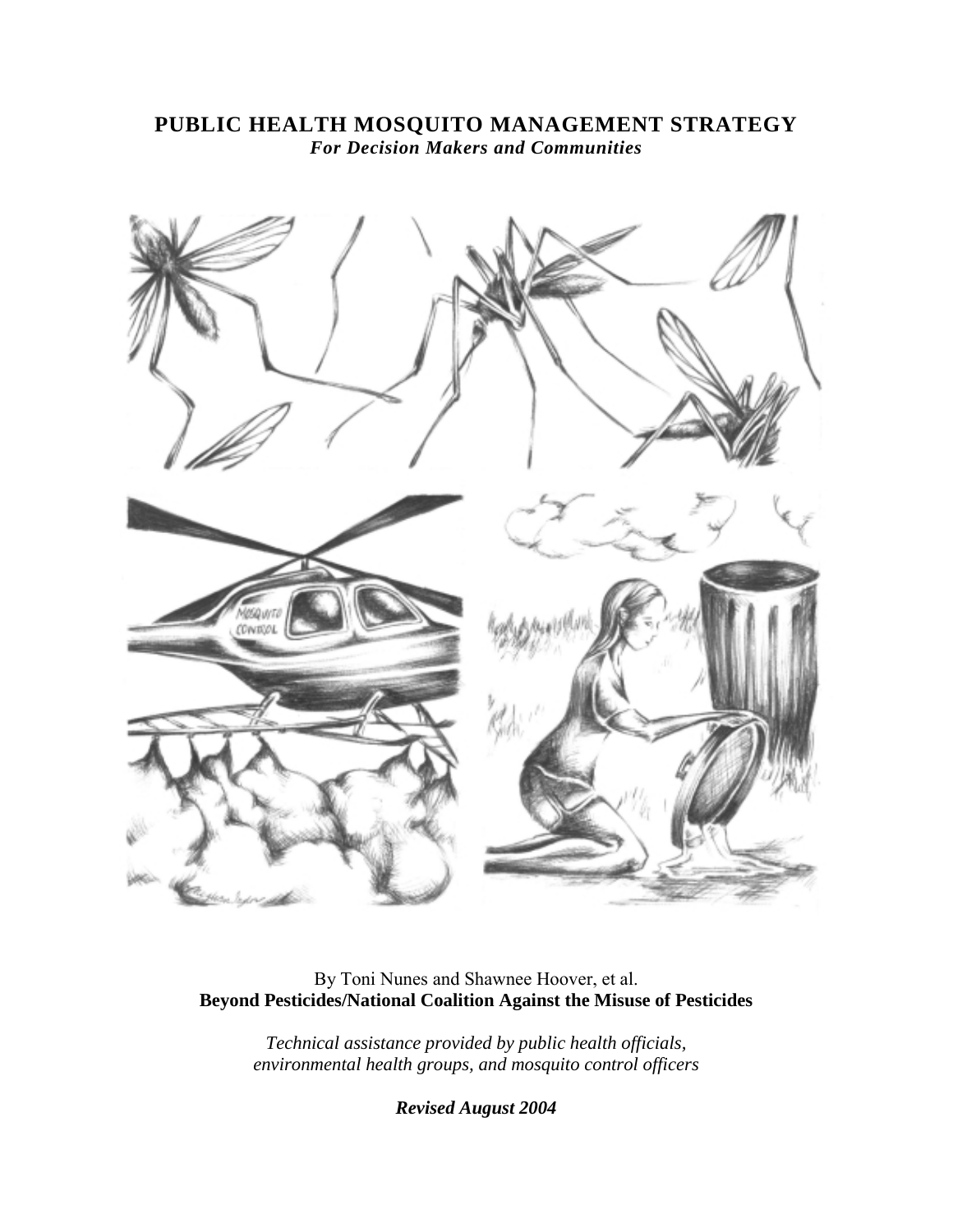## **PUBLIC HEALTH MOSQUITO MANAGEMENT STRATEGY** *For Decision Makers and Communities*



## By Toni Nunes and Shawnee Hoover, et al. **Beyond Pesticides/National Coalition Against the Misuse of Pesticides**

*Technical assistance provided by public health officials, environmental health groups, and mosquito control officers* 

*Revised August 2004*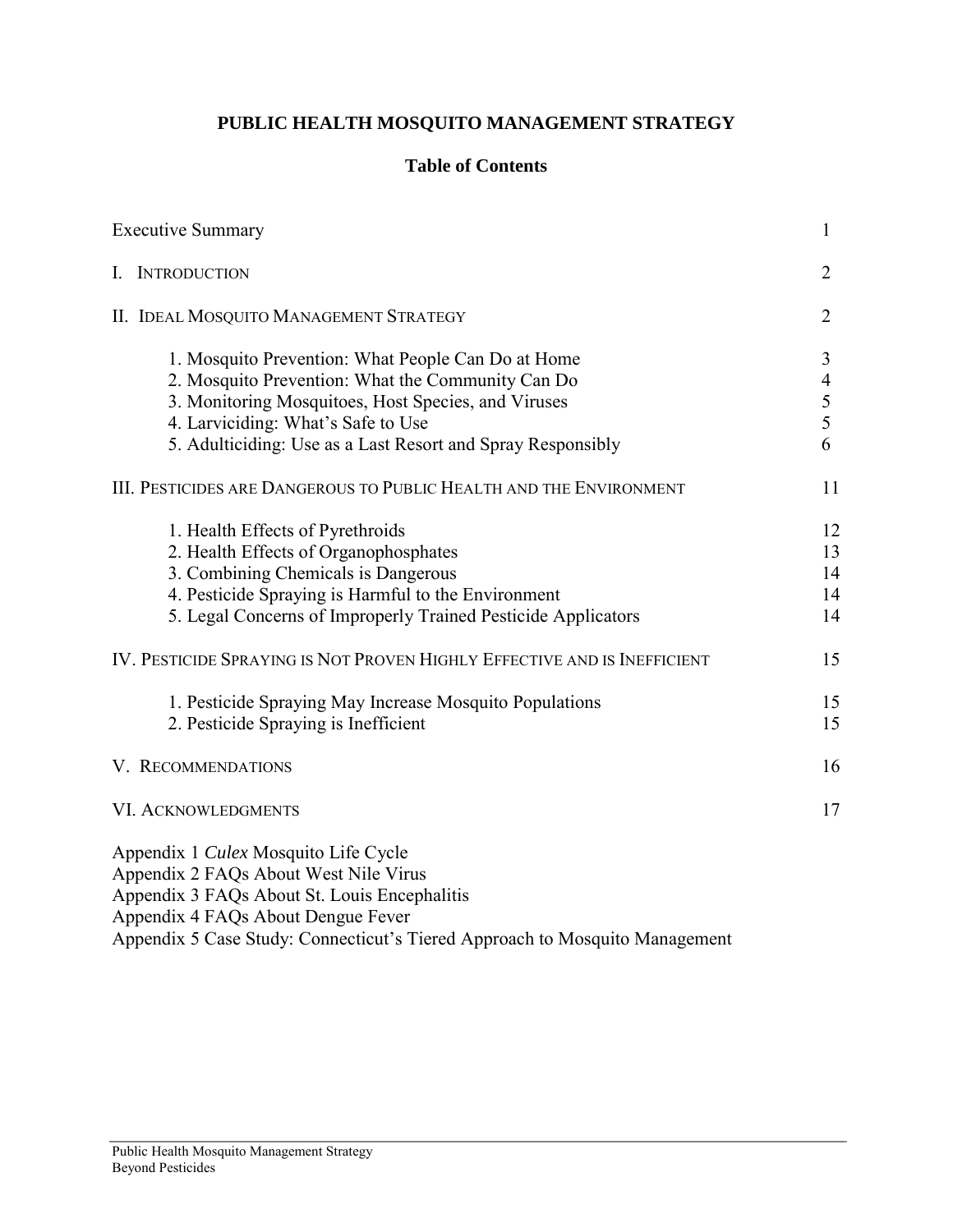# **PUBLIC HEALTH MOSQUITO MANAGEMENT STRATEGY**

## **Table of Contents**

| <b>Executive Summary</b>                                                                                                                                                                                                                                            | $\mathbf{1}$                       |
|---------------------------------------------------------------------------------------------------------------------------------------------------------------------------------------------------------------------------------------------------------------------|------------------------------------|
| I. INTRODUCTION                                                                                                                                                                                                                                                     | $\overline{2}$                     |
| II. IDEAL MOSQUITO MANAGEMENT STRATEGY                                                                                                                                                                                                                              | $\overline{2}$                     |
| 1. Mosquito Prevention: What People Can Do at Home<br>2. Mosquito Prevention: What the Community Can Do<br>3. Monitoring Mosquitoes, Host Species, and Viruses<br>4. Larviciding: What's Safe to Use<br>5. Adulticiding: Use as a Last Resort and Spray Responsibly | 3<br>$\overline{4}$<br>5<br>5<br>6 |
| III. PESTICIDES ARE DANGEROUS TO PUBLIC HEALTH AND THE ENVIRONMENT                                                                                                                                                                                                  | 11                                 |
| 1. Health Effects of Pyrethroids<br>2. Health Effects of Organophosphates<br>3. Combining Chemicals is Dangerous<br>4. Pesticide Spraying is Harmful to the Environment<br>5. Legal Concerns of Improperly Trained Pesticide Applicators                            | 12<br>13<br>14<br>14<br>14         |
| IV. PESTICIDE SPRAYING IS NOT PROVEN HIGHLY EFFECTIVE AND IS INEFFICIENT                                                                                                                                                                                            | 15                                 |
| 1. Pesticide Spraying May Increase Mosquito Populations<br>2. Pesticide Spraying is Inefficient                                                                                                                                                                     | 15<br>15                           |
| V. RECOMMENDATIONS                                                                                                                                                                                                                                                  | 16                                 |
| <b>VI. ACKNOWLEDGMENTS</b>                                                                                                                                                                                                                                          | 17                                 |
| Appendix 1 Culex Mosquito Life Cycle<br>Appendix 2 FAQs About West Nile Virus<br>Appendix 3 FAQs About St. Louis Encephalitis<br>Appendix 4 FAQs About Dengue Fever<br>Appendix 5 Case Study: Connecticut's Tiered Approach to Mosquito Management                  |                                    |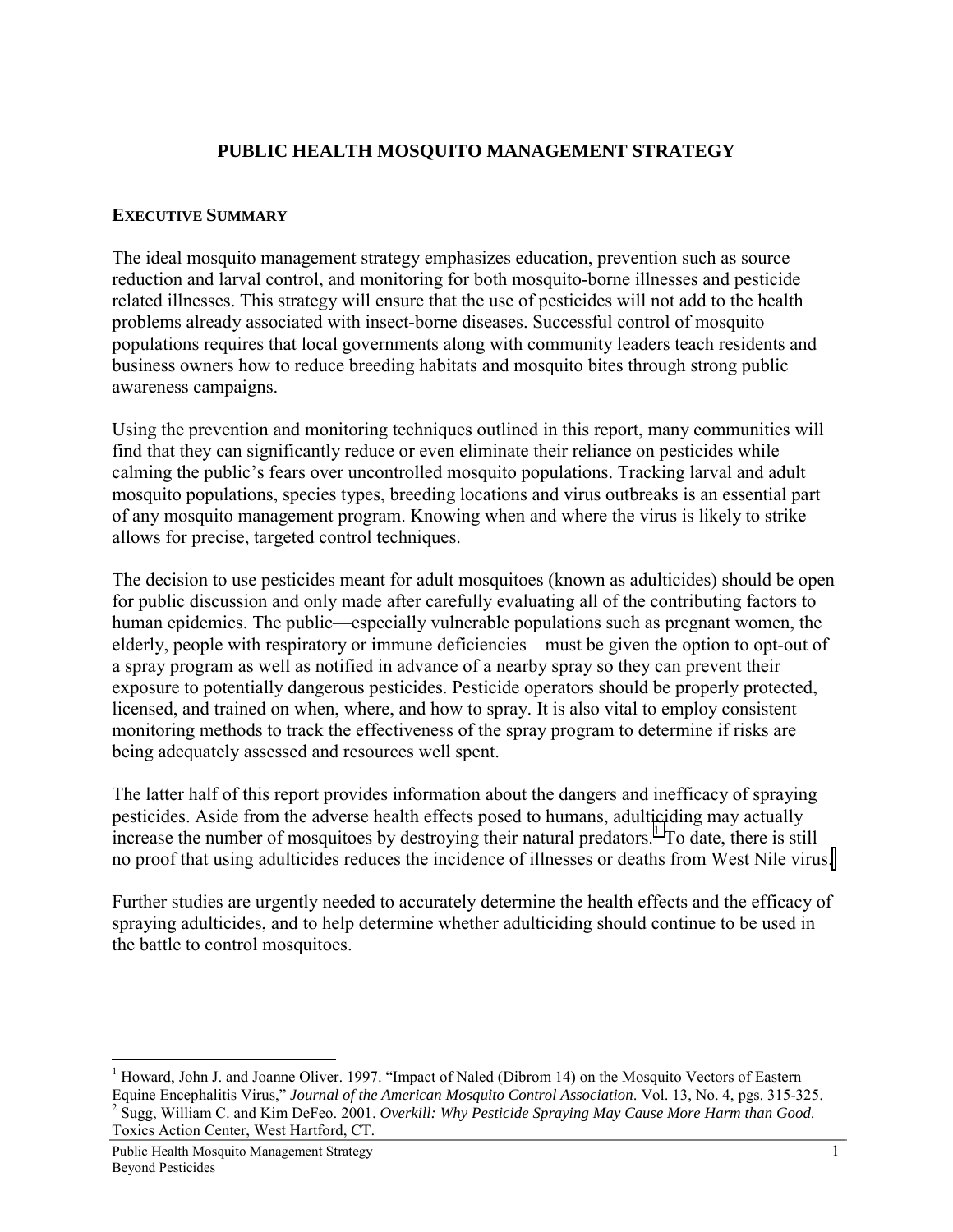## **PUBLIC HEALTH MOSQUITO MANAGEMENT STRATEGY**

#### **EXECUTIVE SUMMARY**

The ideal mosquito management strategy emphasizes education, prevention such as source reduction and larval control, and monitoring for both mosquito-borne illnesses and pesticide related illnesses. This strategy will ensure that the use of pesticides will not add to the health problems already associated with insect-borne diseases. Successful control of mosquito populations requires that local governments along with community leaders teach residents and business owners how to reduce breeding habitats and mosquito bites through strong public awareness campaigns.

Using the prevention and monitoring techniques outlined in this report, many communities will find that they can significantly reduce or even eliminate their reliance on pesticides while calming the public's fears over uncontrolled mosquito populations. Tracking larval and adult mosquito populations, species types, breeding locations and virus outbreaks is an essential part of any mosquito management program. Knowing when and where the virus is likely to strike allows for precise, targeted control techniques.

The decision to use pesticides meant for adult mosquitoes (known as adulticides) should be open for public discussion and only made after carefully evaluating all of the contributing factors to human epidemics. The public—especially vulnerable populations such as pregnant women, the elderly, people with respiratory or immune deficiencies—must be given the option to opt-out of a spray program as well as notified in advance of a nearby spray so they can prevent their exposure to potentially dangerous pesticides. Pesticide operators should be properly protected, licensed, and trained on when, where, and how to spray. It is also vital to employ consistent monitoring methods to track the effectiveness of the spray program to determine if risks are being adequately assessed and resources well spent.

The latter half of this report provides information about the dangers and inefficacy of spraying pesticides. Aside from the adverse health effects posed to humans, adulticiding may actually increase the number of mosquitoes by destroying their natural predators.<sup>1</sup> To date, there is still no proof that using adulticides reduces the incidence of illnesses or deaths from West Nile virus.

Further studies are urgently needed to accurately determine the health effects and the efficacy of spraying adulticides, and to help determine whether adulticiding should continue to be used in the battle to control mosquitoes.

<sup>&</sup>lt;sup>1</sup> Howard, John J. and Joanne Oliver. 1997. "Impact of Naled (Dibrom 14) on the Mosquito Vectors of Eastern Equine Encephalitis Virus," *Journal of the American Mosquito Control Association*. Vol. 13, No. 4, pgs. 315-325. 2 Sugg, William C. and Kim DeFeo. 2001. *Overkill: Why Pesticide Spraying May Cause More Harm than Good*. Toxics Action Center, West Hartford, CT.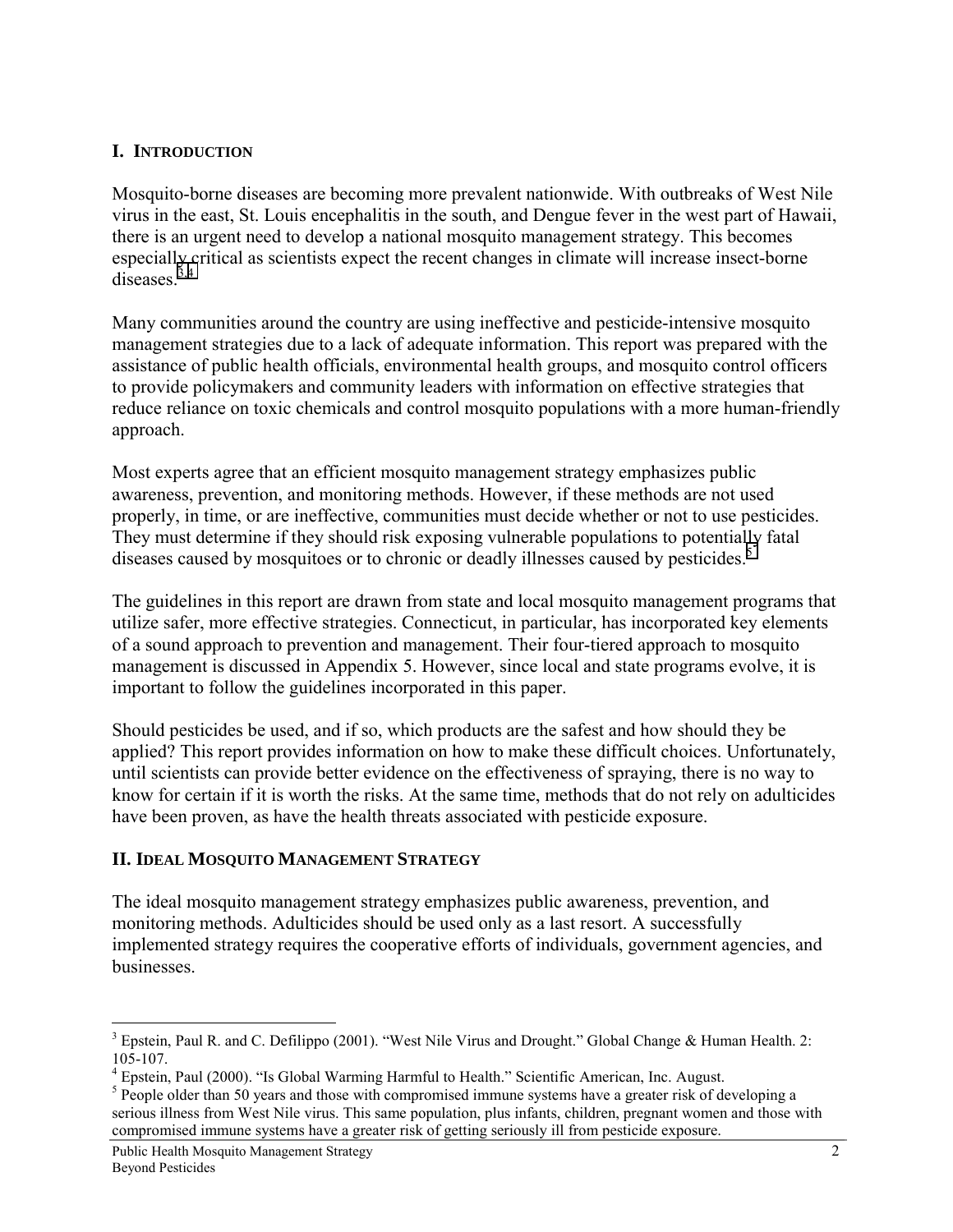## **I. INTRODUCTION**

Mosquito-borne diseases are becoming more prevalent nationwide. With outbreaks of West Nile virus in the east, St. Louis encephalitis in the south, and Dengue fever in the west part of Hawaii, there is an urgent need to develop a national mosquito management strategy. This becomes especially critical as scientists expect the recent changes in climate will increase insect-borne  $diseases<sup>3,4</sup>$ 

Many communities around the country are using ineffective and pesticide-intensive mosquito management strategies due to a lack of adequate information. This report was prepared with the assistance of public health officials, environmental health groups, and mosquito control officers to provide policymakers and community leaders with information on effective strategies that reduce reliance on toxic chemicals and control mosquito populations with a more human-friendly approach.

Most experts agree that an efficient mosquito management strategy emphasizes public awareness, prevention, and monitoring methods. However, if these methods are not used properly, in time, or are ineffective, communities must decide whether or not to use pesticides. They must determine if they should risk exposing vulnerable populations to potentially fatal diseases caused by mosquitoes or to chronic or deadly illnesses caused by pesticides.<sup>5</sup>

The guidelines in this report are drawn from state and local mosquito management programs that utilize safer, more effective strategies. Connecticut, in particular, has incorporated key elements of a sound approach to prevention and management. Their four-tiered approach to mosquito management is discussed in Appendix 5. However, since local and state programs evolve, it is important to follow the guidelines incorporated in this paper.

Should pesticides be used, and if so, which products are the safest and how should they be applied? This report provides information on how to make these difficult choices. Unfortunately, until scientists can provide better evidence on the effectiveness of spraying, there is no way to know for certain if it is worth the risks. At the same time, methods that do not rely on adulticides have been proven, as have the health threats associated with pesticide exposure.

### **II. IDEAL MOSQUITO MANAGEMENT STRATEGY**

The ideal mosquito management strategy emphasizes public awareness, prevention, and monitoring methods. Adulticides should be used only as a last resort. A successfully implemented strategy requires the cooperative efforts of individuals, government agencies, and businesses.

<sup>&</sup>lt;sup>3</sup> Epstein, Paul R. and C. Defilippo (2001). "West Nile Virus and Drought." Global Change & Human Health. 2:  $105 - 107$ .

<sup>&</sup>lt;sup>4</sup> Epstein, Paul (2000). "Is Global Warming Harmful to Health." Scientific American, Inc. August.

 $5$  People older than 50 years and those with compromised immune systems have a greater risk of developing a serious illness from West Nile virus. This same population, plus infants, children, pregnant women and those with compromised immune systems have a greater risk of getting seriously ill from pesticide exposure.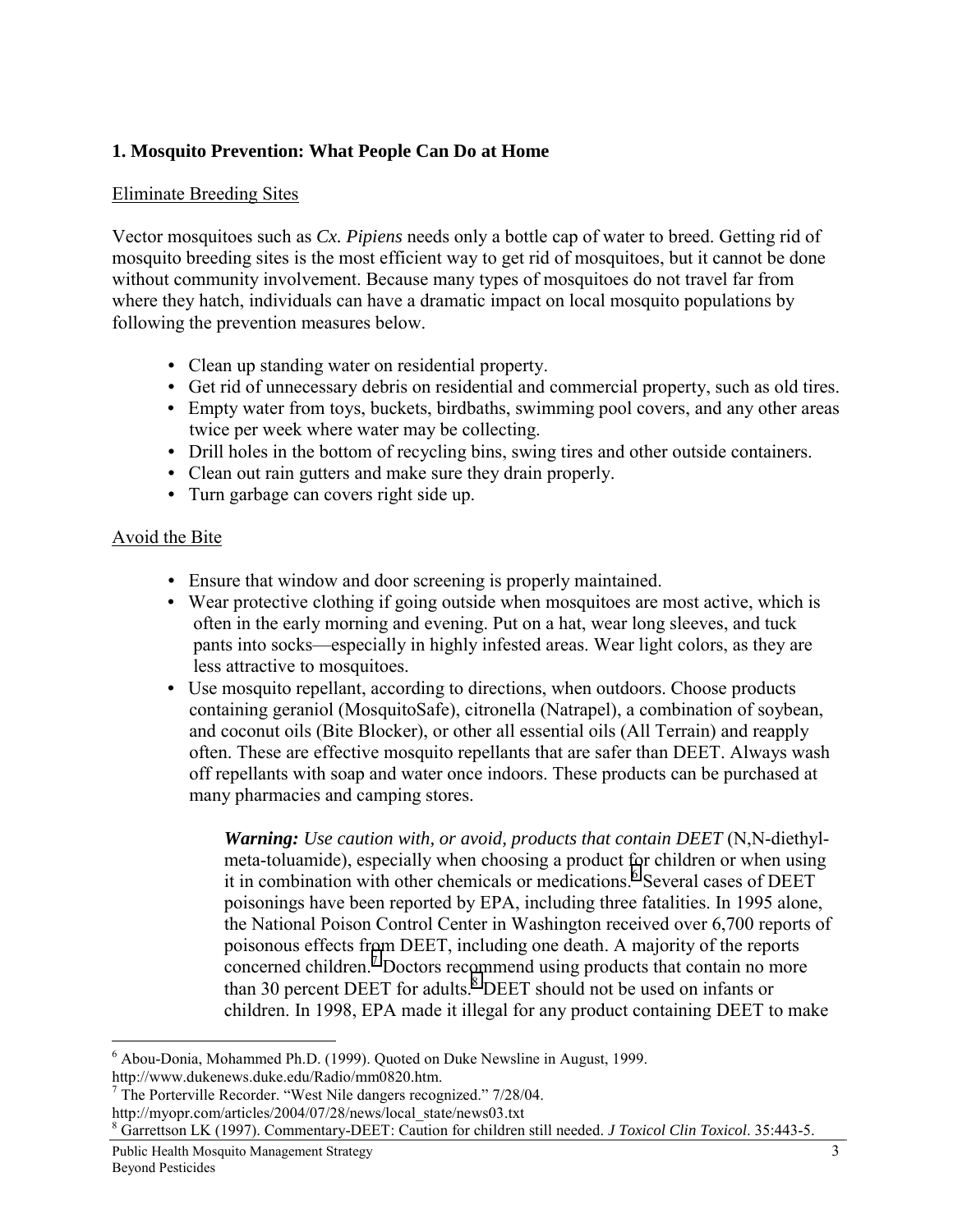## **1. Mosquito Prevention: What People Can Do at Home**

#### Eliminate Breeding Sites

Vector mosquitoes such as *Cx. Pipiens* needs only a bottle cap of water to breed. Getting rid of mosquito breeding sites is the most efficient way to get rid of mosquitoes, but it cannot be done without community involvement. Because many types of mosquitoes do not travel far from where they hatch, individuals can have a dramatic impact on local mosquito populations by following the prevention measures below.

- Clean up standing water on residential property.
- Get rid of unnecessary debris on residential and commercial property, such as old tires.
- Empty water from toys, buckets, birdbaths, swimming pool covers, and any other areas twice per week where water may be collecting.
- Drill holes in the bottom of recycling bins, swing tires and other outside containers.
- Clean out rain gutters and make sure they drain properly.
- Turn garbage can covers right side up.

#### Avoid the Bite

- Ensure that window and door screening is properly maintained.
- Wear protective clothing if going outside when mosquitoes are most active, which is often in the early morning and evening. Put on a hat, wear long sleeves, and tuck pants into socks—especially in highly infested areas. Wear light colors, as they are less attractive to mosquitoes.
- Use mosquito repellant, according to directions, when outdoors. Choose products containing geraniol (MosquitoSafe), citronella (Natrapel), a combination of soybean, and coconut oils (Bite Blocker), or other all essential oils (All Terrain) and reapply often. These are effective mosquito repellants that are safer than DEET. Always wash off repellants with soap and water once indoors. These products can be purchased at many pharmacies and camping stores.

*Warning: Use caution with, or avoid, products that contain DEET* (N,N-diethylmeta-toluamide), especially when choosing a product for children or when using it in combination with other chemicals or medications.<sup>6</sup> Several cases of DEET poisonings have been reported by EPA, including three fatalities. In 1995 alone, the National Poison Control Center in Washington received over 6,700 reports of poisonous effects from DEET, including one death. A majority of the reports concerned children.<sup>7</sup> Doctors recommend using products that contain no more than 30 percent DEET for adults.<sup>8</sup> DEET should not be used on infants or children. In 1998, EPA made it illegal for any product containing DEET to make

<sup>6</sup> Abou-Donia, Mohammed Ph.D. (1999). Quoted on Duke Newsline in August, 1999.

http://www.dukenews.duke.edu/Radio/mm0820.htm.

<sup>&</sup>lt;sup>7</sup> The Porterville Recorder. "West Nile dangers recognized." 7/28/04. http://myopr.com/articles/2004/07/28/news/local\_state/news03.txt

<sup>8</sup> Garrettson LK (1997). Commentary-DEET: Caution for children still needed. *J Toxicol Clin Toxicol*. 35:443-5.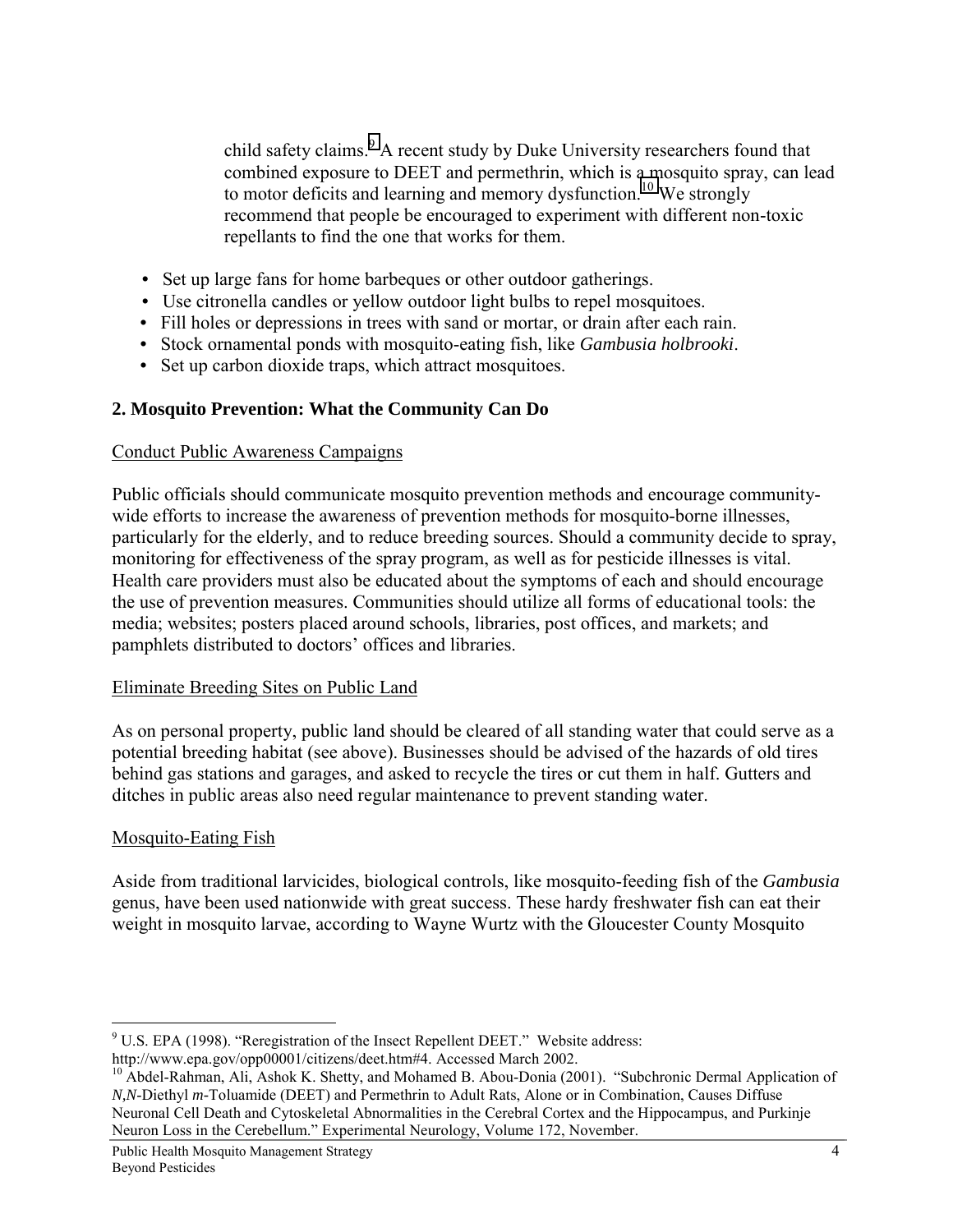child safety claims.<sup>9</sup> A recent study by Duke University researchers found that combined exposure to DEET and permethrin, which is a mosquito spray, can lead to motor deficits and learning and memory dysfunction.<sup>10</sup> We strongly recommend that people be encouraged to experiment with different non-toxic repellants to find the one that works for them.

- Set up large fans for home barbeques or other outdoor gatherings.
- Use citronella candles or yellow outdoor light bulbs to repel mosquitoes.
- Fill holes or depressions in trees with sand or mortar, or drain after each rain.
- Stock ornamental ponds with mosquito-eating fish, like *Gambusia holbrooki*.
- Set up carbon dioxide traps, which attract mosquitoes.

## **2. Mosquito Prevention: What the Community Can Do**

#### Conduct Public Awareness Campaigns

Public officials should communicate mosquito prevention methods and encourage communitywide efforts to increase the awareness of prevention methods for mosquito-borne illnesses, particularly for the elderly, and to reduce breeding sources. Should a community decide to spray, monitoring for effectiveness of the spray program, as well as for pesticide illnesses is vital. Health care providers must also be educated about the symptoms of each and should encourage the use of prevention measures. Communities should utilize all forms of educational tools: the media; websites; posters placed around schools, libraries, post offices, and markets; and pamphlets distributed to doctors' offices and libraries.

### Eliminate Breeding Sites on Public Land

As on personal property, public land should be cleared of all standing water that could serve as a potential breeding habitat (see above). Businesses should be advised of the hazards of old tires behind gas stations and garages, and asked to recycle the tires or cut them in half. Gutters and ditches in public areas also need regular maintenance to prevent standing water.

### Mosquito-Eating Fish

Aside from traditional larvicides, biological controls, like mosquito-feeding fish of the *Gambusia*  genus, have been used nationwide with great success. These hardy freshwater fish can eat their weight in mosquito larvae, according to Wayne Wurtz with the Gloucester County Mosquito

 9 U.S. EPA (1998). "Reregistration of the Insect Repellent DEET." Website address:

http://www.epa.gov/opp00001/citizens/deet.htm#4. Accessed March 2002.

<sup>&</sup>lt;sup>10</sup> Abdel-Rahman, Ali, Ashok K. Shetty, and Mohamed B. Abou-Donia (2001). "Subchronic Dermal Application of *N,N*-Diethyl *m-*Toluamide (DEET) and Permethrin to Adult Rats, Alone or in Combination, Causes Diffuse Neuronal Cell Death and Cytoskeletal Abnormalities in the Cerebral Cortex and the Hippocampus, and Purkinje Neuron Loss in the Cerebellum." Experimental Neurology, Volume 172, November.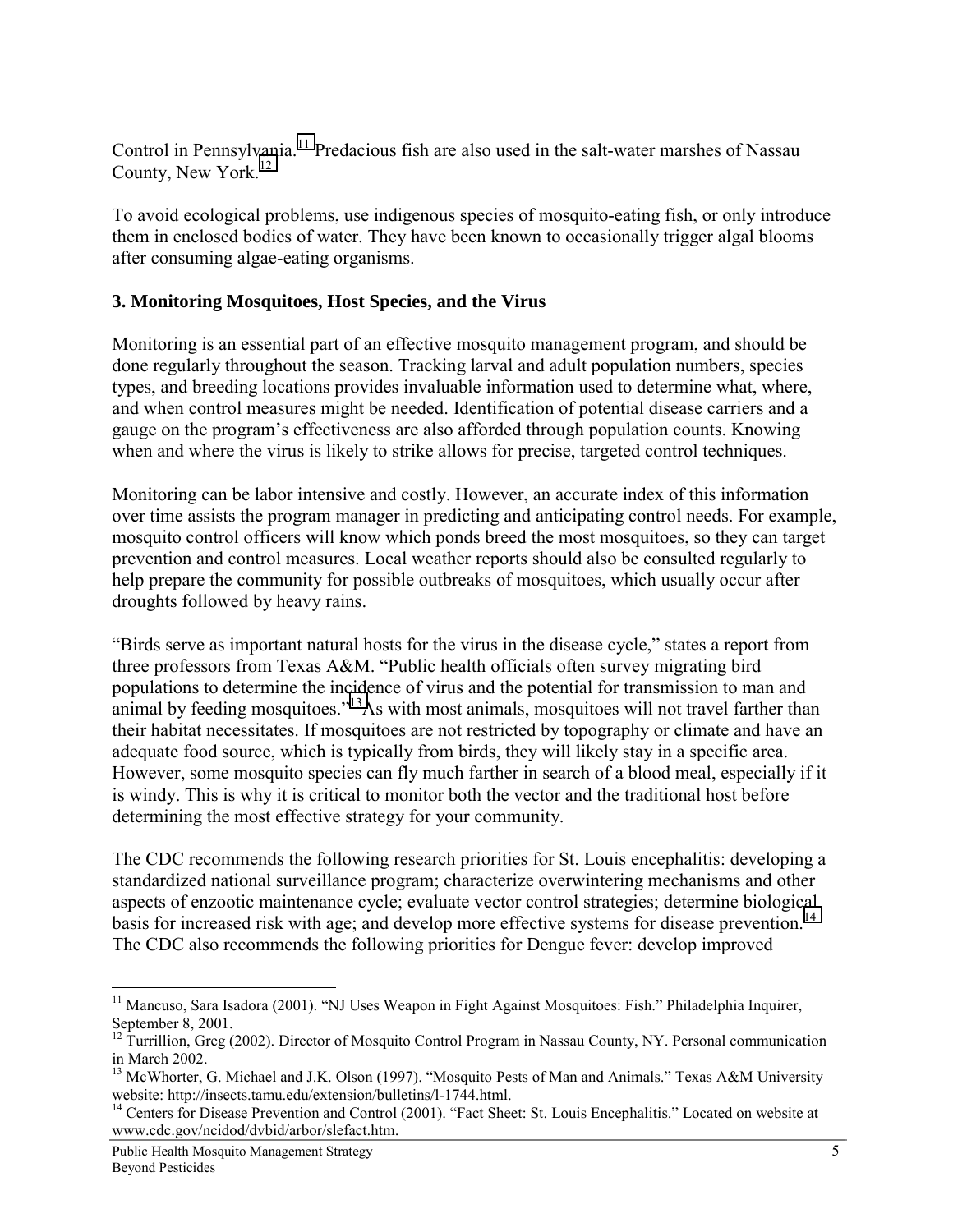Control in Pennsylvania.<sup>11</sup> Predacious fish are also used in the salt-water marshes of Nassau County, New York.<sup>12</sup>

To avoid ecological problems, use indigenous species of mosquito-eating fish, or only introduce them in enclosed bodies of water. They have been known to occasionally trigger algal blooms after consuming algae-eating organisms.

## **3. Monitoring Mosquitoes, Host Species, and the Virus**

Monitoring is an essential part of an effective mosquito management program, and should be done regularly throughout the season. Tracking larval and adult population numbers, species types, and breeding locations provides invaluable information used to determine what, where, and when control measures might be needed. Identification of potential disease carriers and a gauge on the program's effectiveness are also afforded through population counts. Knowing when and where the virus is likely to strike allows for precise, targeted control techniques.

Monitoring can be labor intensive and costly. However, an accurate index of this information over time assists the program manager in predicting and anticipating control needs. For example, mosquito control officers will know which ponds breed the most mosquitoes, so they can target prevention and control measures. Local weather reports should also be consulted regularly to help prepare the community for possible outbreaks of mosquitoes, which usually occur after droughts followed by heavy rains.

"Birds serve as important natural hosts for the virus in the disease cycle," states a report from three professors from Texas A&M. "Public health officials often survey migrating bird populations to determine the incidence of virus and the potential for transmission to man and animal by feeding mosquitoes."<sup>13</sup>As with most animals, mosquitoes will not travel farther than their habitat necessitates. If mosquitoes are not restricted by topography or climate and have an adequate food source, which is typically from birds, they will likely stay in a specific area. However, some mosquito species can fly much farther in search of a blood meal, especially if it is windy. This is why it is critical to monitor both the vector and the traditional host before determining the most effective strategy for your community.

The CDC recommends the following research priorities for St. Louis encephalitis: developing a standardized national surveillance program; characterize overwintering mechanisms and other aspects of enzootic maintenance cycle; evaluate vector control strategies; determine biological basis for increased risk with age; and develop more effective systems for disease prevention.<sup>14</sup> The CDC also recommends the following priorities for Dengue fever: develop improved

 $\overline{a}$ <sup>11</sup> Mancuso, Sara Isadora (2001). "NJ Uses Weapon in Fight Against Mosquitoes: Fish." Philadelphia Inquirer, September 8, 2001.

 $12$  Turrillion, Greg (2002). Director of Mosquito Control Program in Nassau County, NY. Personal communication in March 2002.

<sup>&</sup>lt;sup>13</sup> McWhorter, G. Michael and J.K. Olson (1997). "Mosquito Pests of Man and Animals." Texas A&M University website: http://insects.tamu.edu/extension/bulletins/l-1744.html.

<sup>&</sup>lt;sup>14</sup> Centers for Disease Prevention and Control (2001). "Fact Sheet: St. Louis Encephalitis." Located on website at www.cdc.gov/ncidod/dvbid/arbor/slefact.htm.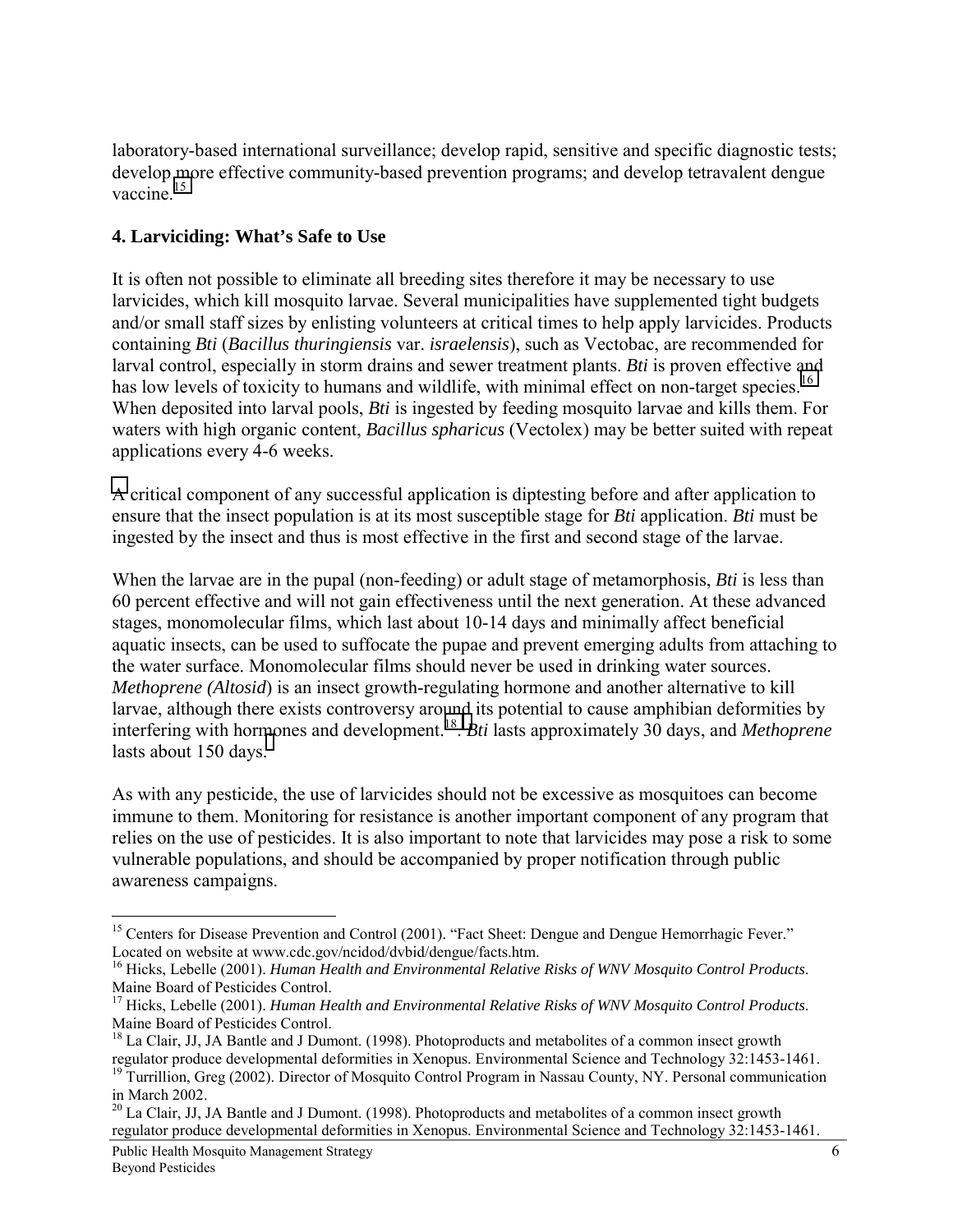laboratory-based international surveillance; develop rapid, sensitive and specific diagnostic tests; develop more effective community-based prevention programs; and develop tetravalent dengue vaccine $15$ 

## **4. Larviciding: What's Safe to Use**

It is often not possible to eliminate all breeding sites therefore it may be necessary to use larvicides, which kill mosquito larvae. Several municipalities have supplemented tight budgets and/or small staff sizes by enlisting volunteers at critical times to help apply larvicides. Products containing *Bti* (*Bacillus thuringiensis* var. *israelensis*), such as Vectobac, are recommended for larval control, especially in storm drains and sewer treatment plants. *Bti* is proven effective and has low levels of toxicity to humans and wildlife, with minimal effect on non-target species.<sup>16</sup> When deposited into larval pools, *Bti* is ingested by feeding mosquito larvae and kills them. For waters with high organic content, *Bacillus spharicus* (Vectolex) may be better suited with repeat applications every 4-6 weeks.

A critical component of any successful application is diptesting before and after application to ensure that the insect population is at its most susceptible stage for *Bti* application. *Bti* must be ingested by the insect and thus is most effective in the first and second stage of the larvae.

When the larvae are in the pupal (non-feeding) or adult stage of metamorphosis, *Bti* is less than 60 percent effective and will not gain effectiveness until the next generation. At these advanced stages, monomolecular films, which last about 10-14 days and minimally affect beneficial aquatic insects, can be used to suffocate the pupae and prevent emerging adults from attaching to the water surface. Monomolecular films should never be used in drinking water sources. *Methoprene (Altosid*) is an insect growth-regulating hormone and another alternative to kill larvae, although there exists controversy around its potential to cause amphibian deformities by interfering with hormones and development.18. *Bti* lasts approximately 30 days, and *Methoprene* lasts about 150 days.

As with any pesticide, the use of larvicides should not be excessive as mosquitoes can become immune to them. Monitoring for resistance is another important component of any program that relies on the use of pesticides. It is also important to note that larvicides may pose a risk to some vulnerable populations, and should be accompanied by proper notification through public awareness campaigns.

<sup>&</sup>lt;sup>15</sup> Centers for Disease Prevention and Control (2001). "Fact Sheet: Dengue and Dengue Hemorrhagic Fever." Located on website at www.cdc.gov/ncidod/dvbid/dengue/facts.htm.

<sup>16</sup> Hicks, Lebelle (2001). *Human Health and Environmental Relative Risks of WNV Mosquito Control Products*. Maine Board of Pesticides Control.

<sup>17</sup> Hicks, Lebelle (2001). *Human Health and Environmental Relative Risks of WNV Mosquito Control Products*. Maine Board of Pesticides Control.

<sup>&</sup>lt;sup>18</sup> La Clair, JJ, JA Bantle and J Dumont. (1998). Photoproducts and metabolites of a common insect growth regulator produce developmental deformities in Xenopus. Environmental Science and Technology 32:1453-1461.

<sup>&</sup>lt;sup>19</sup> Turrillion, Greg (2002). Director of Mosquito Control Program in Nassau County, NY. Personal communication in March 2002.

<sup>&</sup>lt;sup>20</sup> La Clair, JJ, JA Bantle and J Dumont. (1998). Photoproducts and metabolites of a common insect growth regulator produce developmental deformities in Xenopus. Environmental Science and Technology 32:1453-1461.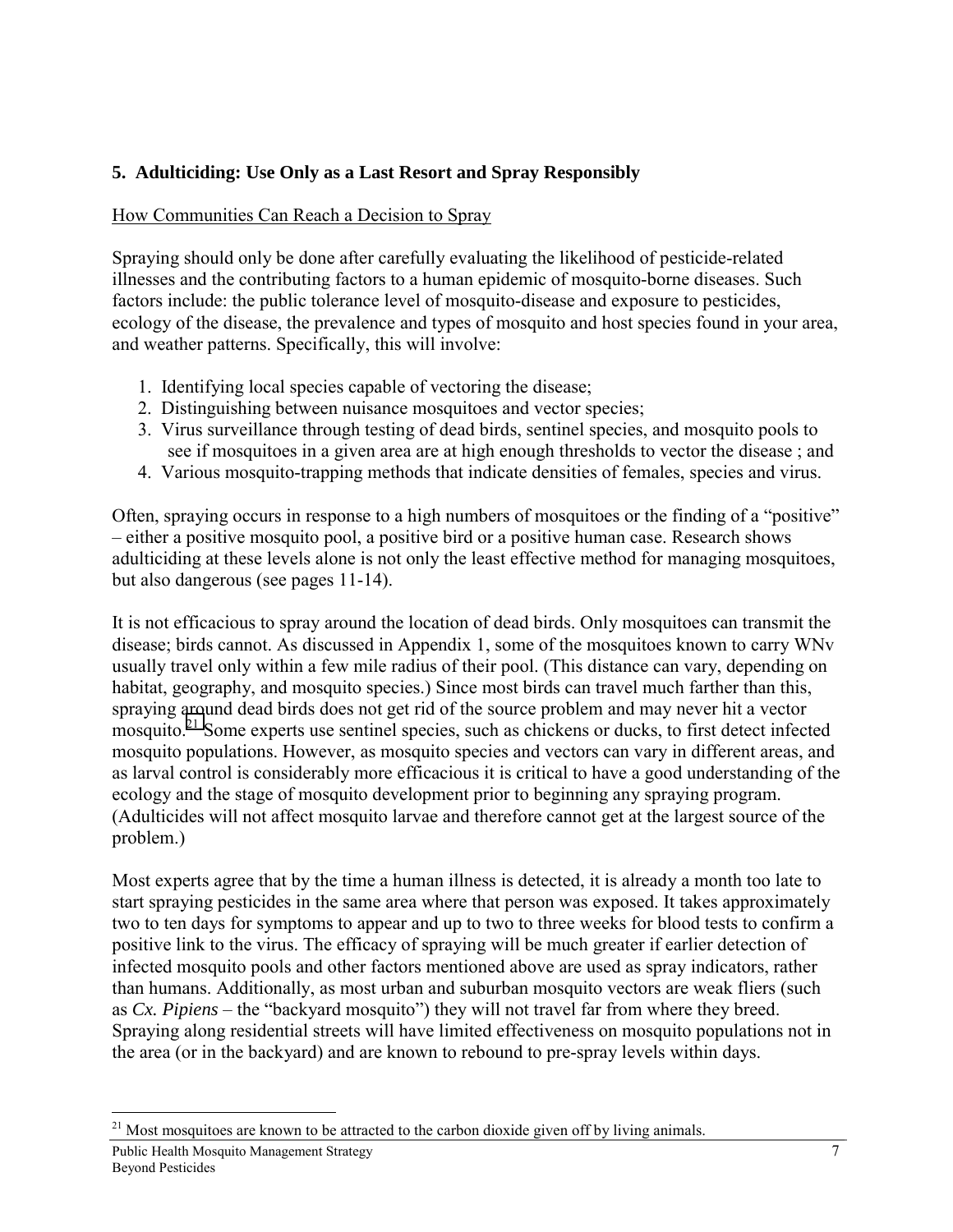## **5. Adulticiding: Use Only as a Last Resort and Spray Responsibly**

## How Communities Can Reach a Decision to Spray

Spraying should only be done after carefully evaluating the likelihood of pesticide-related illnesses and the contributing factors to a human epidemic of mosquito-borne diseases. Such factors include: the public tolerance level of mosquito-disease and exposure to pesticides, ecology of the disease, the prevalence and types of mosquito and host species found in your area, and weather patterns. Specifically, this will involve:

- 1. Identifying local species capable of vectoring the disease;
- 2. Distinguishing between nuisance mosquitoes and vector species;
- 3. Virus surveillance through testing of dead birds, sentinel species, and mosquito pools to see if mosquitoes in a given area are at high enough thresholds to vector the disease ; and
- 4. Various mosquito-trapping methods that indicate densities of females, species and virus.

Often, spraying occurs in response to a high numbers of mosquitoes or the finding of a "positive" – either a positive mosquito pool, a positive bird or a positive human case. Research shows adulticiding at these levels alone is not only the least effective method for managing mosquitoes, but also dangerous (see pages 11-14).

It is not efficacious to spray around the location of dead birds. Only mosquitoes can transmit the disease; birds cannot. As discussed in Appendix 1, some of the mosquitoes known to carry WNv usually travel only within a few mile radius of their pool. (This distance can vary, depending on habitat, geography, and mosquito species.) Since most birds can travel much farther than this, spraying around dead birds does not get rid of the source problem and may never hit a vector mosquito.21 Some experts use sentinel species, such as chickens or ducks, to first detect infected mosquito populations. However, as mosquito species and vectors can vary in different areas, and as larval control is considerably more efficacious it is critical to have a good understanding of the ecology and the stage of mosquito development prior to beginning any spraying program. (Adulticides will not affect mosquito larvae and therefore cannot get at the largest source of the problem.)

Most experts agree that by the time a human illness is detected, it is already a month too late to start spraying pesticides in the same area where that person was exposed. It takes approximately two to ten days for symptoms to appear and up to two to three weeks for blood tests to confirm a positive link to the virus. The efficacy of spraying will be much greater if earlier detection of infected mosquito pools and other factors mentioned above are used as spray indicators, rather than humans. Additionally, as most urban and suburban mosquito vectors are weak fliers (such as *Cx. Pipiens* – the "backyard mosquito") they will not travel far from where they breed. Spraying along residential streets will have limited effectiveness on mosquito populations not in the area (or in the backyard) and are known to rebound to pre-spray levels within days.

Public Health Mosquito Management Strategy 7 Beyond Pesticides

<sup>&</sup>lt;sup>21</sup> Most mosquitoes are known to be attracted to the carbon dioxide given off by living animals.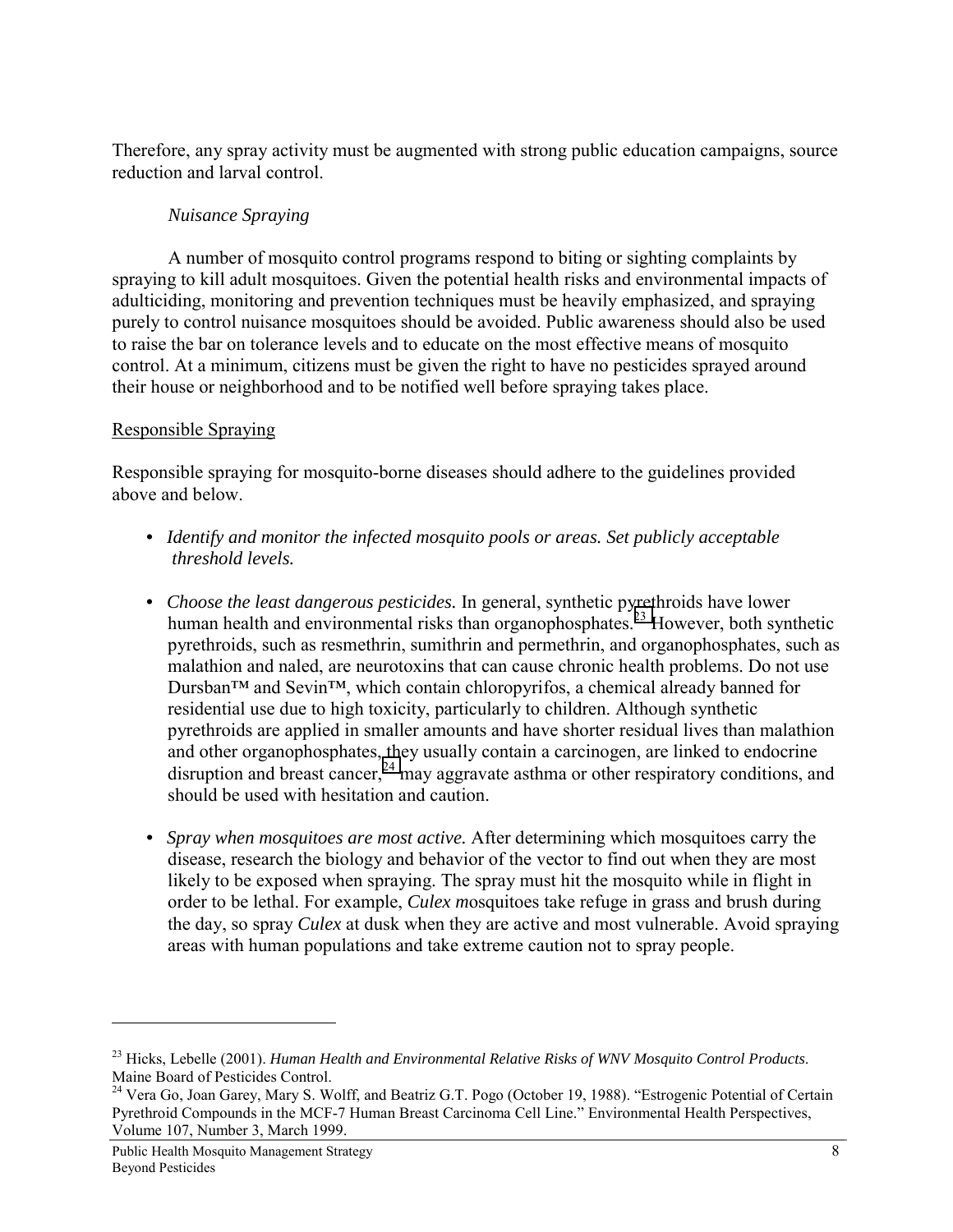Therefore, any spray activity must be augmented with strong public education campaigns, source reduction and larval control.

## *Nuisance Spraying*

A number of mosquito control programs respond to biting or sighting complaints by spraying to kill adult mosquitoes. Given the potential health risks and environmental impacts of adulticiding, monitoring and prevention techniques must be heavily emphasized, and spraying purely to control nuisance mosquitoes should be avoided. Public awareness should also be used to raise the bar on tolerance levels and to educate on the most effective means of mosquito control. At a minimum, citizens must be given the right to have no pesticides sprayed around their house or neighborhood and to be notified well before spraying takes place.

## Responsible Spraying

Responsible spraying for mosquito-borne diseases should adhere to the guidelines provided above and below.

- *Identify and monitor the infected mosquito pools or areas. Set publicly acceptable threshold levels.*
- *Choose the least dangerous pesticides.* In general, synthetic pyrethroids have lower human health and environmental risks than organophosphates.<sup>23</sup> However, both synthetic pyrethroids, such as resmethrin, sumithrin and permethrin, and organophosphates, such as malathion and naled, are neurotoxins that can cause chronic health problems. Do not use Dursban™ and Sevin™, which contain chloropyrifos, a chemical already banned for residential use due to high toxicity, particularly to children. Although synthetic pyrethroids are applied in smaller amounts and have shorter residual lives than malathion and other organophosphates, they usually contain a carcinogen, are linked to endocrine disruption and breast cancer,  $^{24}$  may aggravate asthma or other respiratory conditions, and should be used with hesitation and caution.
- *• Spray when mosquitoes are most active.* After determining which mosquitoes carry the disease, research the biology and behavior of the vector to find out when they are most likely to be exposed when spraying. The spray must hit the mosquito while in flight in order to be lethal. For example, *Culex m*osquitoes take refuge in grass and brush during the day, so spray *Culex* at dusk when they are active and most vulnerable. Avoid spraying areas with human populations and take extreme caution not to spray people.

<sup>23</sup> Hicks, Lebelle (2001). *Human Health and Environmental Relative Risks of WNV Mosquito Control Products*. Maine Board of Pesticides Control.

<sup>&</sup>lt;sup>24</sup> Vera Go, Joan Garey, Mary S. Wolff, and Beatriz G.T. Pogo (October 19, 1988). "Estrogenic Potential of Certain Pyrethroid Compounds in the MCF-7 Human Breast Carcinoma Cell Line." Environmental Health Perspectives, Volume 107, Number 3, March 1999.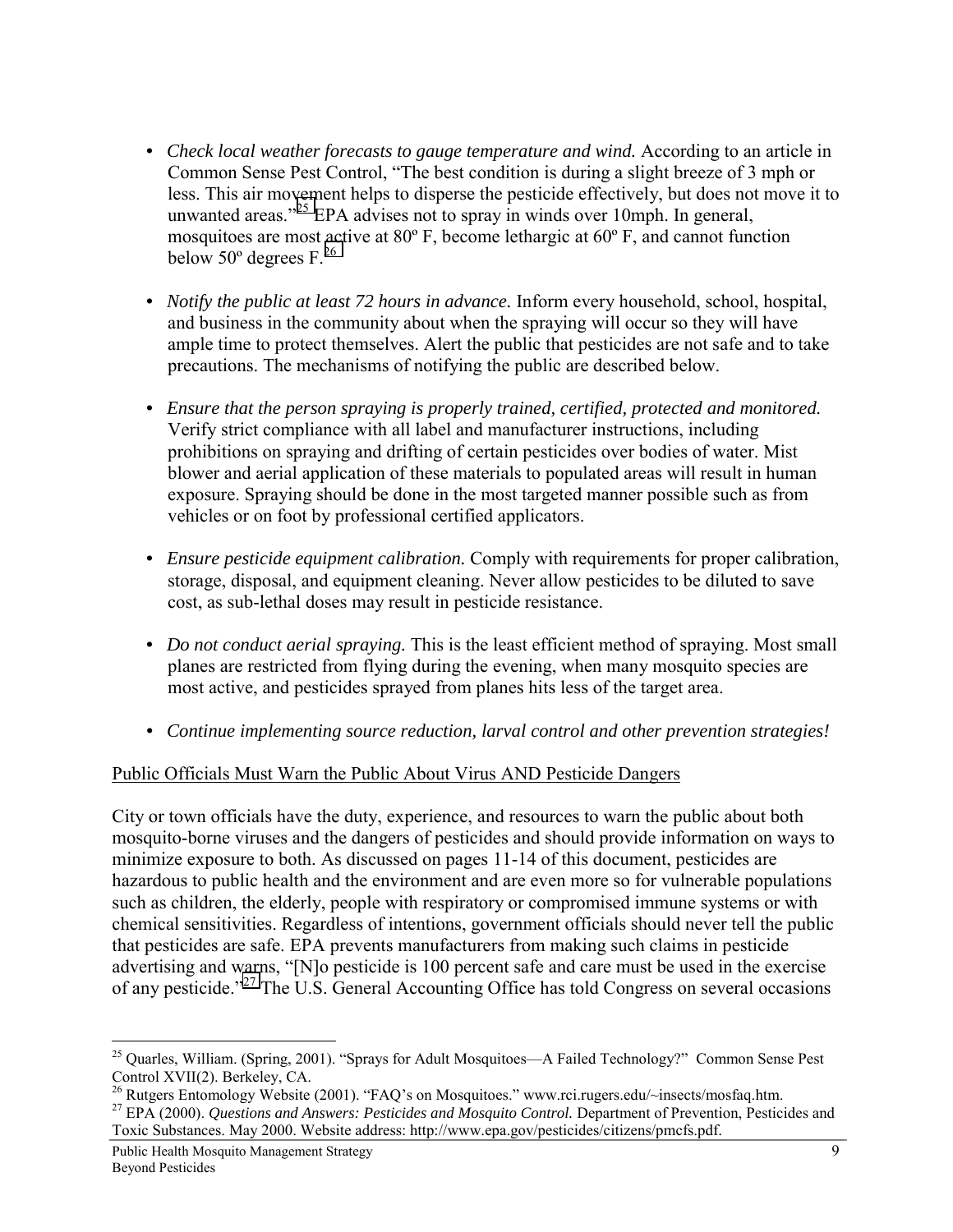- *Check local weather forecasts to gauge temperature and wind.* According to an article in Common Sense Pest Control, "The best condition is during a slight breeze of 3 mph or less. This air movement helps to disperse the pesticide effectively, but does not move it to unwanted areas."<sup>25</sup> EPA advises not to spray in winds over 10mph. In general, mosquitoes are most active at 80º F, become lethargic at 60º F, and cannot function below  $50^{\circ}$  degrees F.<sup>26</sup>
- *Notify the public at least 72 hours in advance.* Inform every household, school, hospital, and business in the community about when the spraying will occur so they will have ample time to protect themselves. Alert the public that pesticides are not safe and to take precautions. The mechanisms of notifying the public are described below.
- *Ensure that the person spraying is properly trained, certified, protected and monitored.* Verify strict compliance with all label and manufacturer instructions, including prohibitions on spraying and drifting of certain pesticides over bodies of water. Mist blower and aerial application of these materials to populated areas will result in human exposure. Spraying should be done in the most targeted manner possible such as from vehicles or on foot by professional certified applicators.
- *Ensure pesticide equipment calibration.* Comply with requirements for proper calibration, storage, disposal, and equipment cleaning. Never allow pesticides to be diluted to save cost, as sub-lethal doses may result in pesticide resistance.
- *Do not conduct aerial spraying.* This is the least efficient method of spraying. Most small planes are restricted from flying during the evening, when many mosquito species are most active, and pesticides sprayed from planes hits less of the target area.
- *• Continue implementing source reduction, larval control and other prevention strategies!*

### Public Officials Must Warn the Public About Virus AND Pesticide Dangers

City or town officials have the duty, experience, and resources to warn the public about both mosquito-borne viruses and the dangers of pesticides and should provide information on ways to minimize exposure to both. As discussed on pages 11-14 of this document, pesticides are hazardous to public health and the environment and are even more so for vulnerable populations such as children, the elderly, people with respiratory or compromised immune systems or with chemical sensitivities. Regardless of intentions, government officials should never tell the public that pesticides are safe. EPA prevents manufacturers from making such claims in pesticide advertising and warns, "[N]o pesticide is 100 percent safe and care must be used in the exercise of any pesticide."27 The U.S. General Accounting Office has told Congress on several occasions

 $\overline{a}$ <sup>25</sup> Quarles, William. (Spring, 2001). "Sprays for Adult Mosquitoes—A Failed Technology?" Common Sense Pest Control XVII(2). Berkeley, CA.

<sup>&</sup>lt;sup>26</sup> Rutgers Entomology Website (2001). "FAQ's on Mosquitoes." www.rci.rugers.edu/~insects/mosfaq.htm.

<sup>&</sup>lt;sup>27</sup> EPA (2000). *Questions and Answers: Pesticides and Mosquito Control*. Department of Prevention, Pesticides and Toxic Substances. May 2000. Website address: http://www.epa.gov/pesticides/citizens/pmcfs.pdf.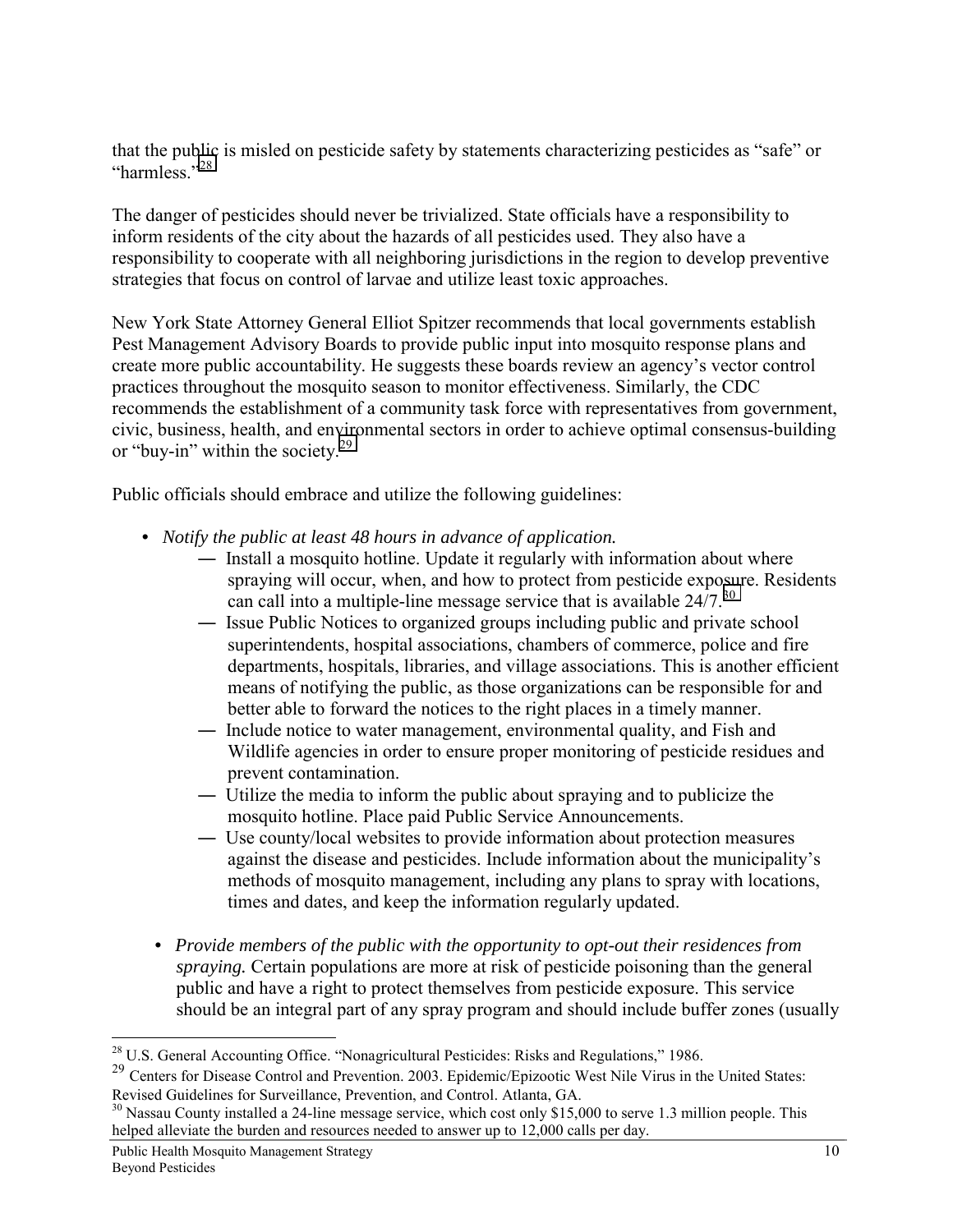that the public is misled on pesticide safety by statements characterizing pesticides as "safe" or "harmless."<sup>28</sup>

The danger of pesticides should never be trivialized. State officials have a responsibility to inform residents of the city about the hazards of all pesticides used. They also have a responsibility to cooperate with all neighboring jurisdictions in the region to develop preventive strategies that focus on control of larvae and utilize least toxic approaches.

New York State Attorney General Elliot Spitzer recommends that local governments establish Pest Management Advisory Boards to provide public input into mosquito response plans and create more public accountability. He suggests these boards review an agency's vector control practices throughout the mosquito season to monitor effectiveness. Similarly, the CDC recommends the establishment of a community task force with representatives from government, civic, business, health, and environmental sectors in order to achieve optimal consensus-building or "buy-in" within the society.<sup>29</sup>

Public officials should embrace and utilize the following guidelines:

- *Notify the public at least 48 hours in advance of application.*
	- ― Install a mosquito hotline. Update it regularly with information about where spraying will occur, when, and how to protect from pesticide exposure. Residents can call into a multiple-line message service that is available  $24/7$ .<sup>30</sup>
	- ― Issue Public Notices to organized groups including public and private school superintendents, hospital associations, chambers of commerce, police and fire departments, hospitals, libraries, and village associations. This is another efficient means of notifying the public, as those organizations can be responsible for and better able to forward the notices to the right places in a timely manner.
	- ― Include notice to water management, environmental quality, and Fish and Wildlife agencies in order to ensure proper monitoring of pesticide residues and prevent contamination.
	- ― Utilize the media to inform the public about spraying and to publicize the mosquito hotline. Place paid Public Service Announcements.
	- ― Use county/local websites to provide information about protection measures against the disease and pesticides. Include information about the municipality's methods of mosquito management, including any plans to spray with locations, times and dates, and keep the information regularly updated.
	- *• Provide members of the public with the opportunity to opt-out their residences from spraying.* Certain populations are more at risk of pesticide poisoning than the general public and have a right to protect themselves from pesticide exposure. This service should be an integral part of any spray program and should include buffer zones (usually

 $28$  U.S. General Accounting Office. "Nonagricultural Pesticides: Risks and Regulations," 1986.

<sup>&</sup>lt;sup>29</sup> Centers for Disease Control and Prevention. 2003. Epidemic/Epizootic West Nile Virus in the United States: Revised Guidelines for Surveillance, Prevention, and Control. Atlanta, GA.

<sup>&</sup>lt;sup>30</sup> Nassau County installed a 24-line message service, which cost only \$15,000 to serve 1.3 million people. This helped alleviate the burden and resources needed to answer up to 12,000 calls per day.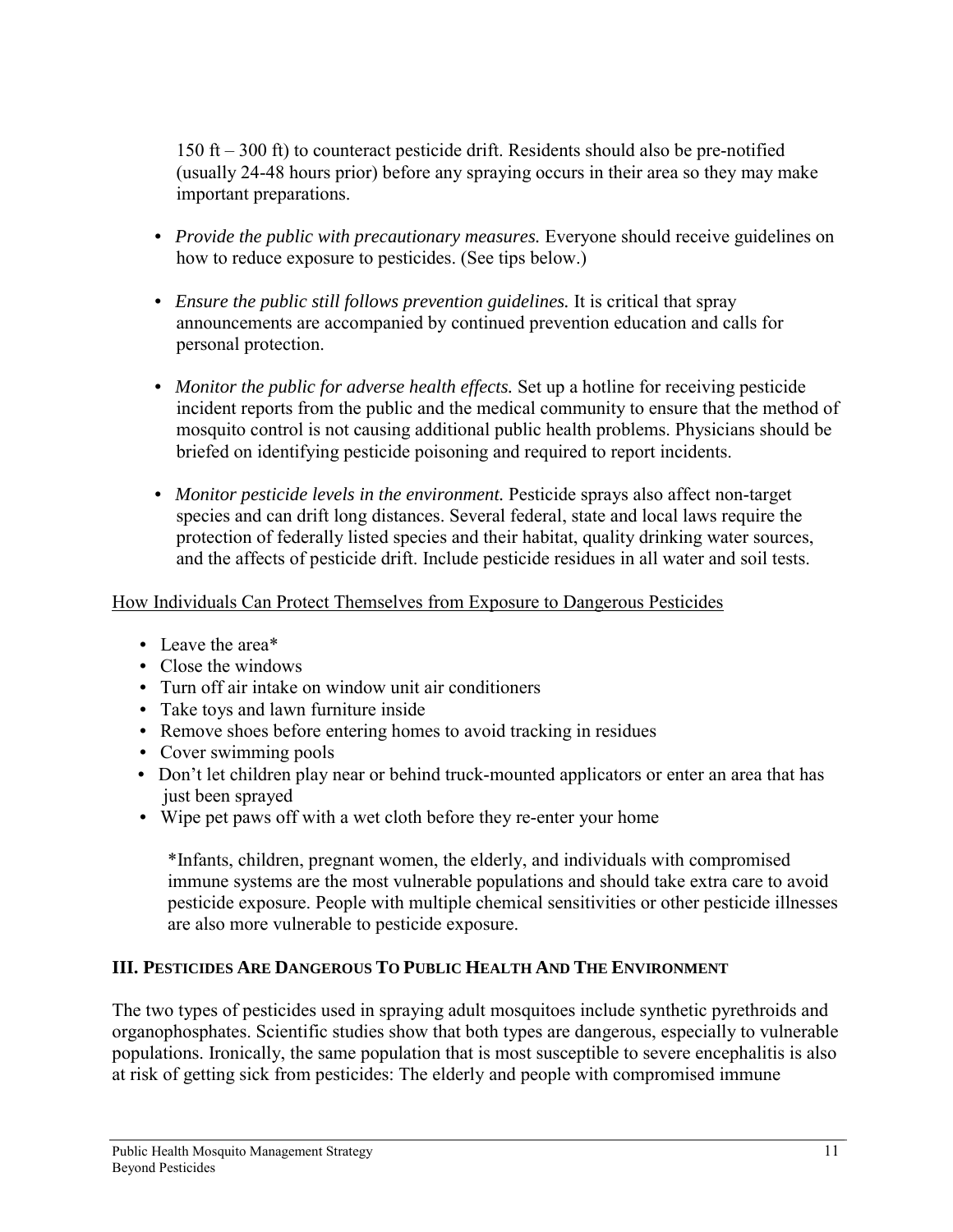150 ft – 300 ft) to counteract pesticide drift. Residents should also be pre-notified (usually 24-48 hours prior) before any spraying occurs in their area so they may make important preparations.

- *Provide the public with precautionary measures.* Everyone should receive guidelines on how to reduce exposure to pesticides. (See tips below.)
- *Ensure the public still follows prevention guidelines.* It is critical that spray announcements are accompanied by continued prevention education and calls for personal protection.
- *Monitor the public for adverse health effects*. Set up a hotline for receiving pesticide incident reports from the public and the medical community to ensure that the method of mosquito control is not causing additional public health problems. Physicians should be briefed on identifying pesticide poisoning and required to report incidents.
- *Monitor pesticide levels in the environment*. Pesticide sprays also affect non-target species and can drift long distances. Several federal, state and local laws require the protection of federally listed species and their habitat, quality drinking water sources, and the affects of pesticide drift. Include pesticide residues in all water and soil tests.

## How Individuals Can Protect Themselves from Exposure to Dangerous Pesticides

- Leave the area\*
- Close the windows
- Turn off air intake on window unit air conditioners
- Take toys and lawn furniture inside
- Remove shoes before entering homes to avoid tracking in residues
- Cover swimming pools
- Don't let children play near or behind truck-mounted applicators or enter an area that has just been sprayed
- Wipe pet paws off with a wet cloth before they re-enter your home

\*Infants, children, pregnant women, the elderly, and individuals with compromised immune systems are the most vulnerable populations and should take extra care to avoid pesticide exposure. People with multiple chemical sensitivities or other pesticide illnesses are also more vulnerable to pesticide exposure.

## **III. PESTICIDES ARE DANGEROUS TO PUBLIC HEALTH AND THE ENVIRONMENT**

The two types of pesticides used in spraying adult mosquitoes include synthetic pyrethroids and organophosphates. Scientific studies show that both types are dangerous, especially to vulnerable populations. Ironically, the same population that is most susceptible to severe encephalitis is also at risk of getting sick from pesticides: The elderly and people with compromised immune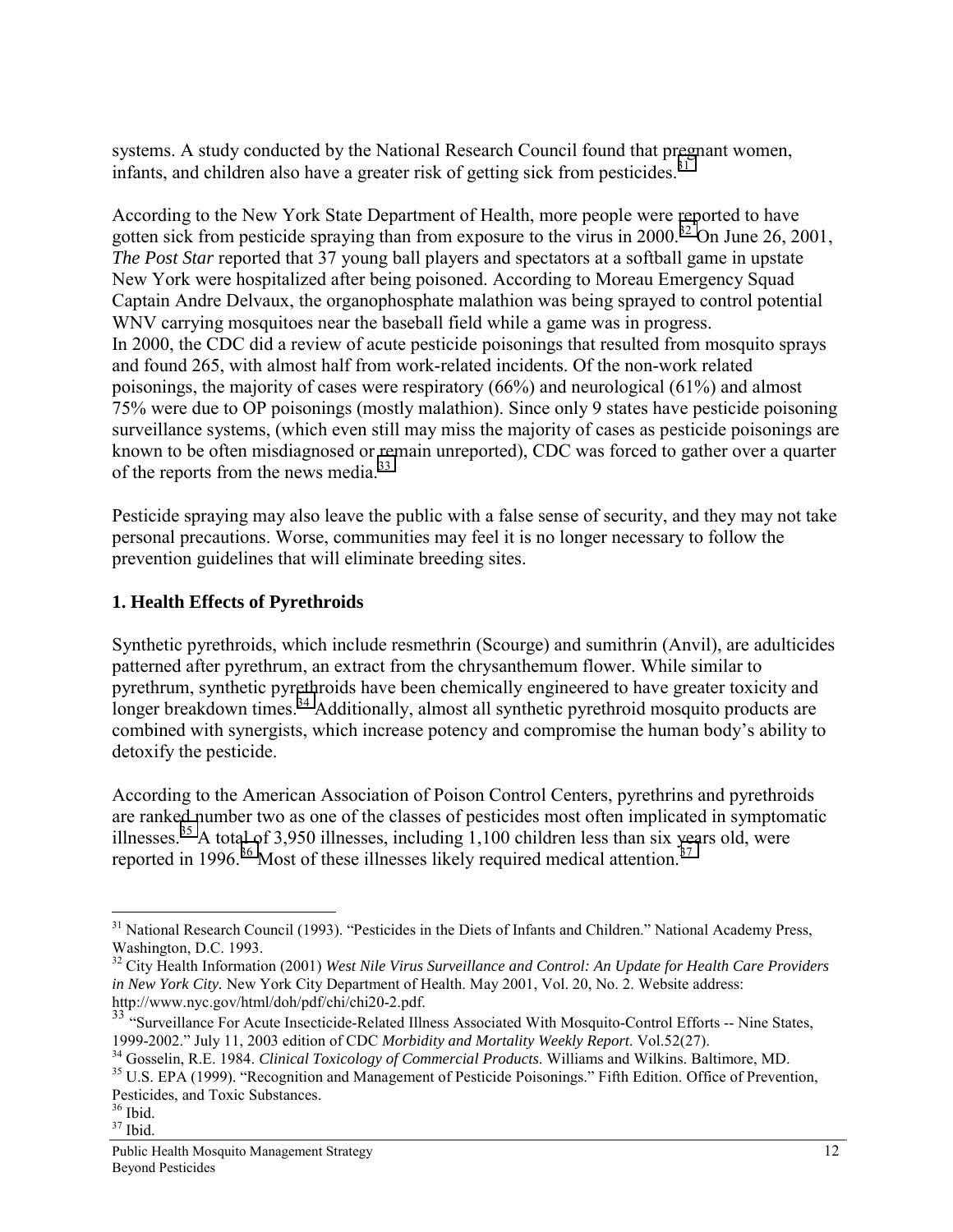systems. A study conducted by the National Research Council found that pregnant women, infants, and children also have a greater risk of getting sick from pesticides.<sup>31</sup>

According to the New York State Department of Health, more people were reported to have gotten sick from pesticide spraying than from exposure to the virus in  $2000^{32}$  On June 26, 2001, *The Post Star* reported that 37 young ball players and spectators at a softball game in upstate New York were hospitalized after being poisoned. According to Moreau Emergency Squad Captain Andre Delvaux, the organophosphate malathion was being sprayed to control potential WNV carrying mosquitoes near the baseball field while a game was in progress. In 2000, the CDC did a review of acute pesticide poisonings that resulted from mosquito sprays and found 265, with almost half from work-related incidents. Of the non-work related poisonings, the majority of cases were respiratory (66%) and neurological (61%) and almost 75% were due to OP poisonings (mostly malathion). Since only 9 states have pesticide poisoning surveillance systems, (which even still may miss the majority of cases as pesticide poisonings are known to be often misdiagnosed or remain unreported), CDC was forced to gather over a quarter of the reports from the news media. $33$ 

Pesticide spraying may also leave the public with a false sense of security, and they may not take personal precautions. Worse, communities may feel it is no longer necessary to follow the prevention guidelines that will eliminate breeding sites.

## **1. Health Effects of Pyrethroids**

Synthetic pyrethroids, which include resmethrin (Scourge) and sumithrin (Anvil), are adulticides patterned after pyrethrum, an extract from the chrysanthemum flower. While similar to pyrethrum, synthetic pyrethroids have been chemically engineered to have greater toxicity and longer breakdown times.<sup>34</sup> Additionally, almost all synthetic pyrethroid mosquito products are combined with synergists, which increase potency and compromise the human body's ability to detoxify the pesticide.

According to the American Association of Poison Control Centers, pyrethrins and pyrethroids are ranked number two as one of the classes of pesticides most often implicated in symptomatic illnesses.<sup>35</sup> A total of 3,950 illnesses, including  $1,100$  children less than six years old, were reported in 1996. $36$  Most of these illnesses likely required medical attention. $37$ 

<sup>&</sup>lt;sup>31</sup> National Research Council (1993). "Pesticides in the Diets of Infants and Children." National Academy Press, Washington, D.C. 1993.

<sup>32</sup> City Health Information (2001) *West Nile Virus Surveillance and Control: An Update for Health Care Providers in New York City.* New York City Department of Health. May 2001, Vol. 20, No. 2. Website address: http://www.nyc.gov/html/doh/pdf/chi/chi20-2.pdf.

<sup>&</sup>lt;sup>33</sup> "Surveillance For Acute Insecticide-Related Illness Associated With Mosquito-Control Efforts -- Nine States,

<sup>1999-2002.&</sup>quot; July 11, 2003 edition of CDC Morbidity and Mortality Weekly Report. Vol.52(27).<br><sup>34</sup> Gosselin, R.E. 1984. Clinical Toxicology of Commercial Products. Williams and Wilkins. Baltimore, MD.<br><sup>35</sup> U.S. EPA (1999). Pesticides, and Toxic Substances.

<sup>36</sup> Ibid.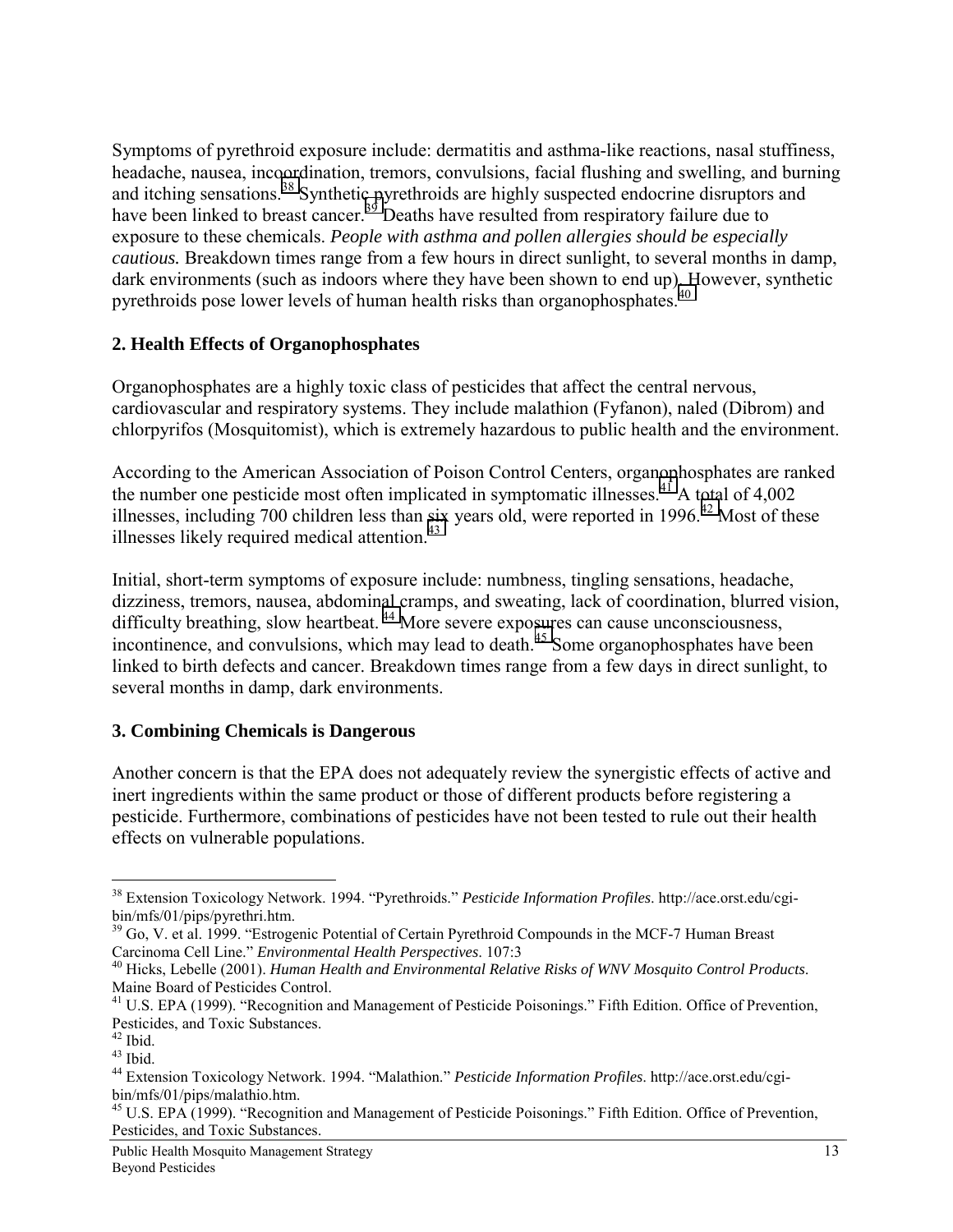Symptoms of pyrethroid exposure include: dermatitis and asthma-like reactions, nasal stuffiness, headache, nausea, incoordination, tremors, convulsions, facial flushing and swelling, and burning and itching sensations.<sup>38</sup> Synthetic pyrethroids are highly suspected endocrine disruptors and have been linked to breast cancer.<sup>39</sup> Deaths have resulted from respiratory failure due to exposure to these chemicals. *People with asthma and pollen allergies should be especially cautious.* Breakdown times range from a few hours in direct sunlight, to several months in damp, dark environments (such as indoors where they have been shown to end up). However, synthetic pyrethroids pose lower levels of human health risks than organophosphates.<sup>40</sup>

### **2. Health Effects of Organophosphates**

Organophosphates are a highly toxic class of pesticides that affect the central nervous, cardiovascular and respiratory systems. They include malathion (Fyfanon), naled (Dibrom) and chlorpyrifos (Mosquitomist), which is extremely hazardous to public health and the environment.

According to the American Association of Poison Control Centers, organophosphates are ranked the number one pesticide most often implicated in symptomatic illnesses.<sup>41</sup> A total of 4,002 illnesses, including 700 children less than six years old, were reported in 1996.<sup>42</sup> Most of these illnesses likely required medical attention. $43$ 

Initial, short-term symptoms of exposure include: numbness, tingling sensations, headache, dizziness, tremors, nausea, abdominal cramps, and sweating, lack of coordination, blurred vision, difficulty breathing, slow heartbeat.<sup>44</sup> More severe exposures can cause unconsciousness, incontinence, and convulsions, which may lead to death.<sup>45</sup> Some organophosphates have been linked to birth defects and cancer. Breakdown times range from a few days in direct sunlight, to several months in damp, dark environments.

## **3. Combining Chemicals is Dangerous**

Another concern is that the EPA does not adequately review the synergistic effects of active and inert ingredients within the same product or those of different products before registering a pesticide. Furthermore, combinations of pesticides have not been tested to rule out their health effects on vulnerable populations.

 $\overline{a}$ 38 Extension Toxicology Network. 1994. "Pyrethroids." *Pesticide Information Profiles*. http://ace.orst.edu/cgibin/mfs/01/pips/pyrethri.htm.

 $39$  Go, V. et al. 1999. "Estrogenic Potential of Certain Pyrethroid Compounds in the MCF-7 Human Breast Carcinoma Cell Line." *Environmental Health Perspectives*. 107:3

<sup>&</sup>lt;sup>40</sup> Hicks, Lebelle (2001). *Human Health and Environmental Relative Risks of WNV Mosquito Control Products.* Maine Board of Pesticides Control.

<sup>&</sup>lt;sup>41</sup> U.S. EPA (1999). "Recognition and Management of Pesticide Poisonings." Fifth Edition. Office of Prevention, Pesticides, and Toxic Substances.

<sup>42</sup> Ibid.

 $43$  Ibid.

<sup>44</sup> Extension Toxicology Network. 1994. "Malathion." *Pesticide Information Profiles*. http://ace.orst.edu/cgibin/mfs/01/pips/malathio.htm.

<sup>&</sup>lt;sup>45</sup> U.S. EPA (1999). "Recognition and Management of Pesticide Poisonings." Fifth Edition. Office of Prevention, Pesticides, and Toxic Substances.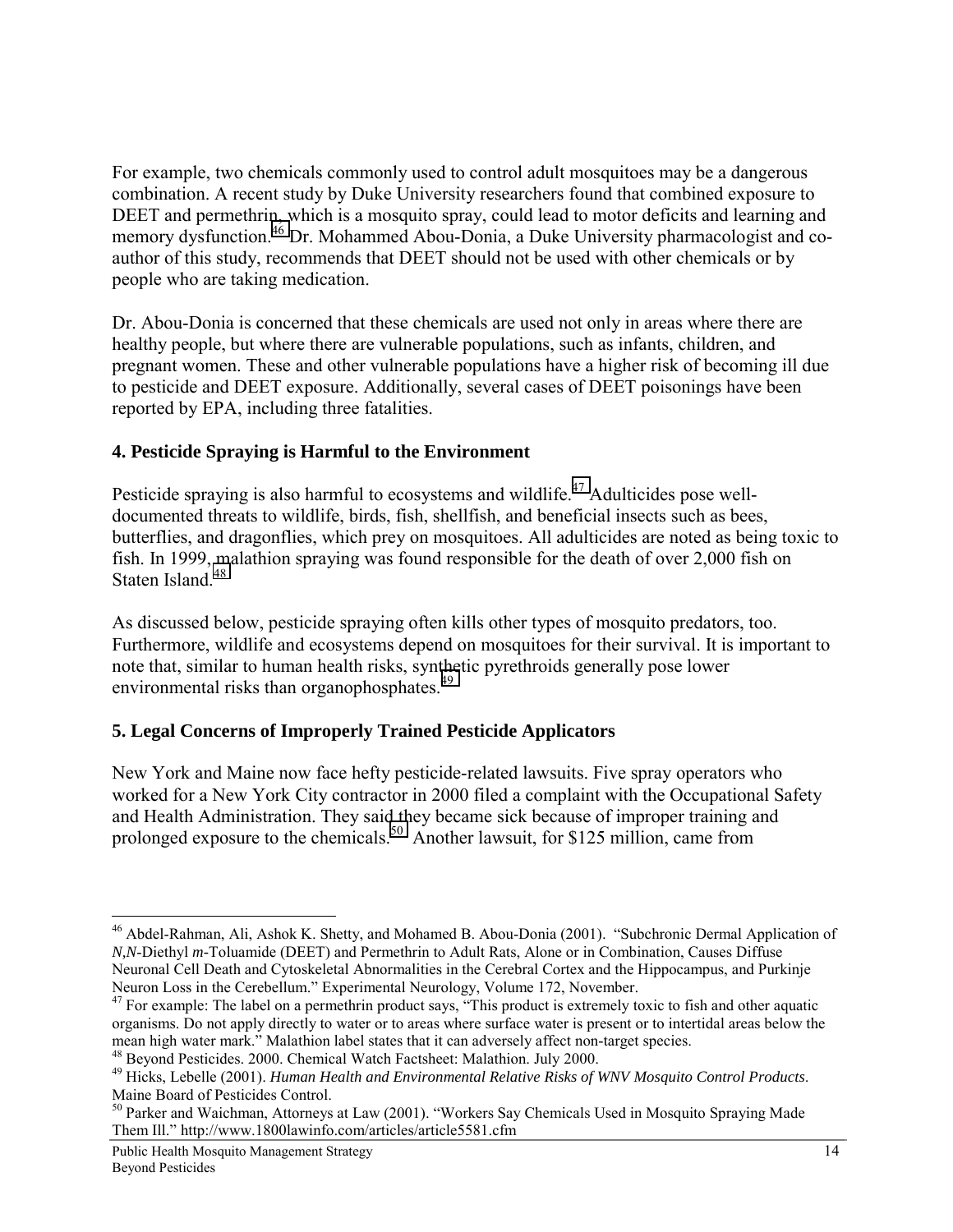For example, two chemicals commonly used to control adult mosquitoes may be a dangerous combination. A recent study by Duke University researchers found that combined exposure to DEET and permethrin, which is a mosquito spray, could lead to motor deficits and learning and memory dysfunction.<sup>46</sup> Dr. Mohammed Abou-Donia, a Duke University pharmacologist and coauthor of this study, recommends that DEET should not be used with other chemicals or by people who are taking medication.

Dr. Abou-Donia is concerned that these chemicals are used not only in areas where there are healthy people, but where there are vulnerable populations, such as infants, children, and pregnant women. These and other vulnerable populations have a higher risk of becoming ill due to pesticide and DEET exposure. Additionally, several cases of DEET poisonings have been reported by EPA, including three fatalities.

## **4. Pesticide Spraying is Harmful to the Environment**

Pesticide spraying is also harmful to ecosystems and wildlife.<sup>47</sup> Adulticides pose welldocumented threats to wildlife, birds, fish, shellfish, and beneficial insects such as bees, butterflies, and dragonflies, which prey on mosquitoes. All adulticides are noted as being toxic to fish. In 1999, malathion spraying was found responsible for the death of over 2,000 fish on Staten Island<sup>48</sup>

As discussed below, pesticide spraying often kills other types of mosquito predators, too. Furthermore, wildlife and ecosystems depend on mosquitoes for their survival. It is important to note that, similar to human health risks, synthetic pyrethroids generally pose lower environmental risks than organophosphates.<sup>49</sup>

## **5. Legal Concerns of Improperly Trained Pesticide Applicators**

New York and Maine now face hefty pesticide-related lawsuits. Five spray operators who worked for a New York City contractor in 2000 filed a complaint with the Occupational Safety and Health Administration. They said they became sick because of improper training and prolonged exposure to the chemicals.<sup>50</sup> Another lawsuit, for \$125 million, came from

<sup>46</sup> Abdel-Rahman, Ali, Ashok K. Shetty, and Mohamed B. Abou-Donia (2001). "Subchronic Dermal Application of *N,N*-Diethyl *m-*Toluamide (DEET) and Permethrin to Adult Rats, Alone or in Combination, Causes Diffuse Neuronal Cell Death and Cytoskeletal Abnormalities in the Cerebral Cortex and the Hippocampus, and Purkinje Neuron Loss in the Cerebellum." Experimental Neurology, Volume 172, November.

<sup>&</sup>lt;sup>47</sup> For example: The label on a permethrin product says, "This product is extremely toxic to fish and other aquatic organisms. Do not apply directly to water or to areas where surface water is present or to intertidal areas below the mean high water mark." Malathion label states that it can adversely affect non-target species.

<sup>&</sup>lt;sup>48</sup> Beyond Pesticides. 2000. Chemical Watch Factsheet: Malathion. July 2000.

<sup>49</sup> Hicks, Lebelle (2001). *Human Health and Environmental Relative Risks of WNV Mosquito Control Products*. Maine Board of Pesticides Control.

<sup>50</sup> Parker and Waichman, Attorneys at Law (2001). "Workers Say Chemicals Used in Mosquito Spraying Made Them Ill." http://www.1800lawinfo.com/articles/article5581.cfm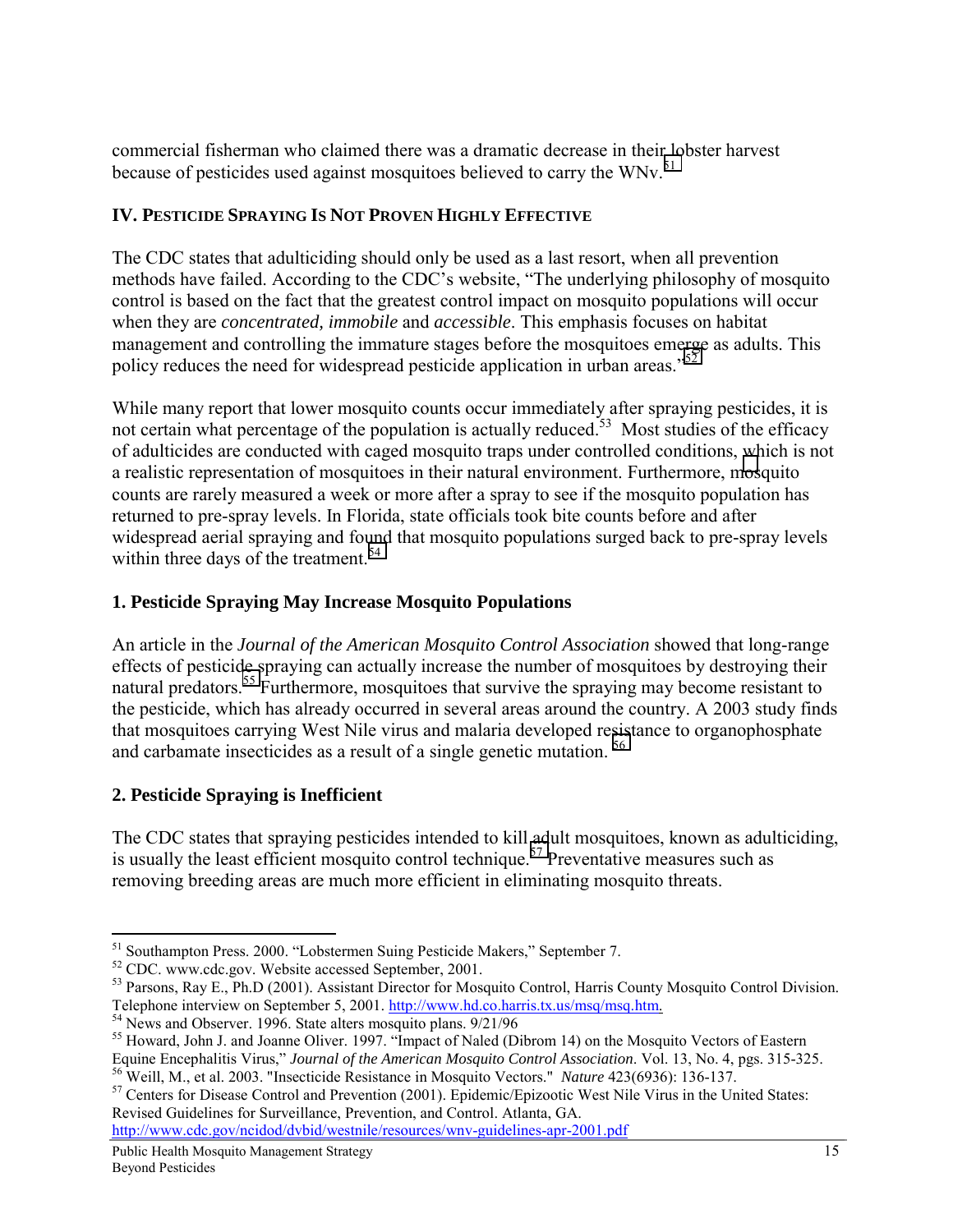commercial fisherman who claimed there was a dramatic decrease in their lobster harvest because of pesticides used against mosquitoes believed to carry the WNv.<sup>51</sup>

## **IV. PESTICIDE SPRAYING IS NOT PROVEN HIGHLY EFFECTIVE**

The CDC states that adulticiding should only be used as a last resort, when all prevention methods have failed. According to the CDC's website, "The underlying philosophy of mosquito control is based on the fact that the greatest control impact on mosquito populations will occur when they are *concentrated, immobile* and *accessible*. This emphasis focuses on habitat management and controlling the immature stages before the mosquitoes emerge as adults. This policy reduces the need for widespread pesticide application in urban areas.<sup>52</sup>

While many report that lower mosquito counts occur immediately after spraying pesticides, it is not certain what percentage of the population is actually reduced.<sup>53</sup> Most studies of the efficacy of adulticides are conducted with caged mosquito traps under controlled conditions, which is not a realistic representation of mosquitoes in their natural environment. Furthermore, mosquito counts are rarely measured a week or more after a spray to see if the mosquito population has returned to pre-spray levels. In Florida, state officials took bite counts before and after widespread aerial spraying and found that mosquito populations surged back to pre-spray levels within three days of the treatment.<sup>54</sup>

## **1. Pesticide Spraying May Increase Mosquito Populations**

An article in the *Journal of the American Mosquito Control Association* showed that long-range effects of pesticide spraying can actually increase the number of mosquitoes by destroying their natural predators.<sup>55</sup> Furthermore, mosquitoes that survive the spraying may become resistant to the pesticide, which has already occurred in several areas around the country. A 2003 study finds that mosquitoes carrying West Nile virus and malaria developed resistance to organophosphate and carbamate insecticides as a result of a single genetic mutation. 56

## **2. Pesticide Spraying is Inefficient**

 $\overline{a}$ 

The CDC states that spraying pesticides intended to kill adult mosquitoes, known as adulticiding, is usually the least efficient mosquito control technique.<sup>57</sup> Preventative measures such as removing breeding areas are much more efficient in eliminating mosquito threats.

http://www.cdc.gov/ncidod/dvbid/westnile/resources/wnv-guidelines-apr-2001.pdf

<sup>&</sup>lt;sup>51</sup> Southampton Press. 2000. "Lobstermen Suing Pesticide Makers," September 7.

<sup>&</sup>lt;sup>52</sup> CDC. www.cdc.gov. Website accessed September, 2001.

<sup>&</sup>lt;sup>53</sup> Parsons, Ray E., Ph.D (2001). Assistant Director for Mosquito Control, Harris County Mosquito Control Division. Telephone interview on September 5, 2001. http://www.hd.co.harris.tx.us/msq/msq.htm. <sup>54</sup> News and Observer. 1996. State alters mosquito plans. 9/21/96

<sup>&</sup>lt;sup>55</sup> Howard, John J. and Joanne Oliver. 1997. "Impact of Naled (Dibrom 14) on the Mosquito Vectors of Eastern Equine Encephalitis Virus," *Journal of the American Mosquito Control Association*. Vol. 13, No. 4, pgs. 315-32

<sup>&</sup>lt;sup>56</sup> Weill, M., et al. 2003. "Insecticide Resistance in Mosquito Vectors." *Nature* 423(6936): 136-137.<br><sup>57</sup> Centers for Disease Control and Prevention (2001). Epidemic/Epizootic West Nile Virus in the United States: Revised Guidelines for Surveillance, Prevention, and Control. Atlanta, GA.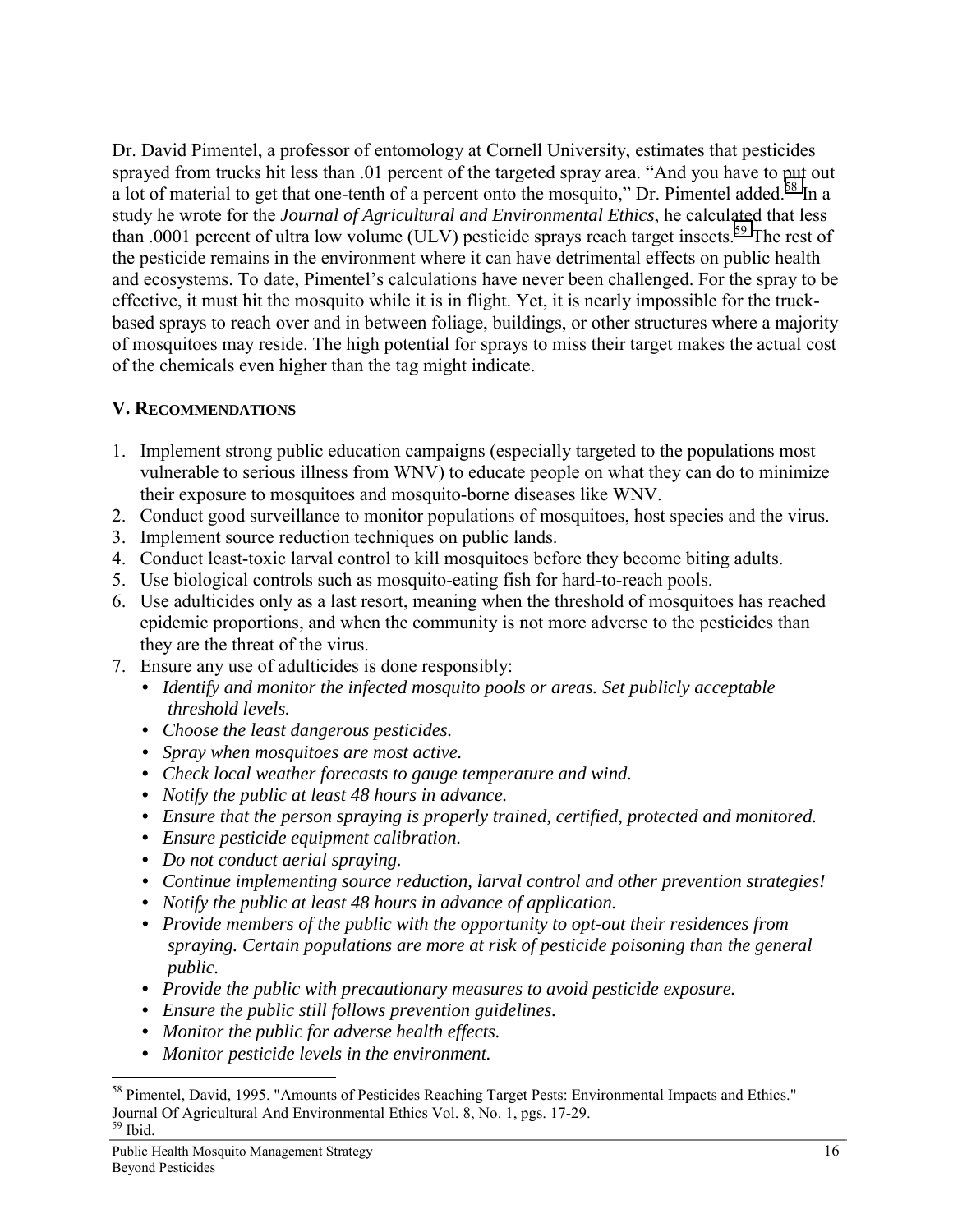Dr. David Pimentel, a professor of entomology at Cornell University, estimates that pesticides sprayed from trucks hit less than .01 percent of the targeted spray area. "And you have to put out a lot of material to get that one-tenth of a percent onto the mosquito," Dr. Pimentel added.<sup>58</sup> In a study he wrote for the *Journal of Agricultural and Environmental Ethics*, he calculated that less than .0001 percent of ultra low volume (ULV) pesticide sprays reach target insects.<sup>59</sup> The rest of the pesticide remains in the environment where it can have detrimental effects on public health and ecosystems. To date, Pimentel's calculations have never been challenged. For the spray to be effective, it must hit the mosquito while it is in flight. Yet, it is nearly impossible for the truckbased sprays to reach over and in between foliage, buildings, or other structures where a majority of mosquitoes may reside. The high potential for sprays to miss their target makes the actual cost of the chemicals even higher than the tag might indicate.

## **V. RECOMMENDATIONS**

- 1. Implement strong public education campaigns (especially targeted to the populations most vulnerable to serious illness from WNV) to educate people on what they can do to minimize their exposure to mosquitoes and mosquito-borne diseases like WNV.
- 2. Conduct good surveillance to monitor populations of mosquitoes, host species and the virus.
- 3. Implement source reduction techniques on public lands.
- 4. Conduct least-toxic larval control to kill mosquitoes before they become biting adults.
- 5. Use biological controls such as mosquito-eating fish for hard-to-reach pools.
- 6. Use adulticides only as a last resort, meaning when the threshold of mosquitoes has reached epidemic proportions, and when the community is not more adverse to the pesticides than they are the threat of the virus.
- 7. Ensure any use of adulticides is done responsibly:
	- *Identify and monitor the infected mosquito pools or areas. Set publicly acceptable threshold levels.*
	- *Choose the least dangerous pesticides.*
	- *• Spray when mosquitoes are most active.*
	- *Check local weather forecasts to gauge temperature and wind.*
	- *Notify the public at least 48 hours in advance.*
	- *Ensure that the person spraying is properly trained, certified, protected and monitored.*
	- *Ensure pesticide equipment calibration.*
	- *Do not conduct aerial spraying.*
	- *• Continue implementing source reduction, larval control and other prevention strategies!*
	- *Notify the public at least 48 hours in advance of application.*
	- *• Provide members of the public with the opportunity to opt-out their residences from spraying. Certain populations are more at risk of pesticide poisoning than the general public.*
	- *Provide the public with precautionary measures to avoid pesticide exposure.*
	- *Ensure the public still follows prevention guidelines.*
	- *Monitor the public for adverse health effects.*
	- *Monitor pesticide levels in the environment.*

<sup>58</sup> Pimentel, David, 1995. "Amounts of Pesticides Reaching Target Pests: Environmental Impacts and Ethics." Journal Of Agricultural And Environmental Ethics Vol. 8, No. 1, pgs. 17-29. 59 Ibid.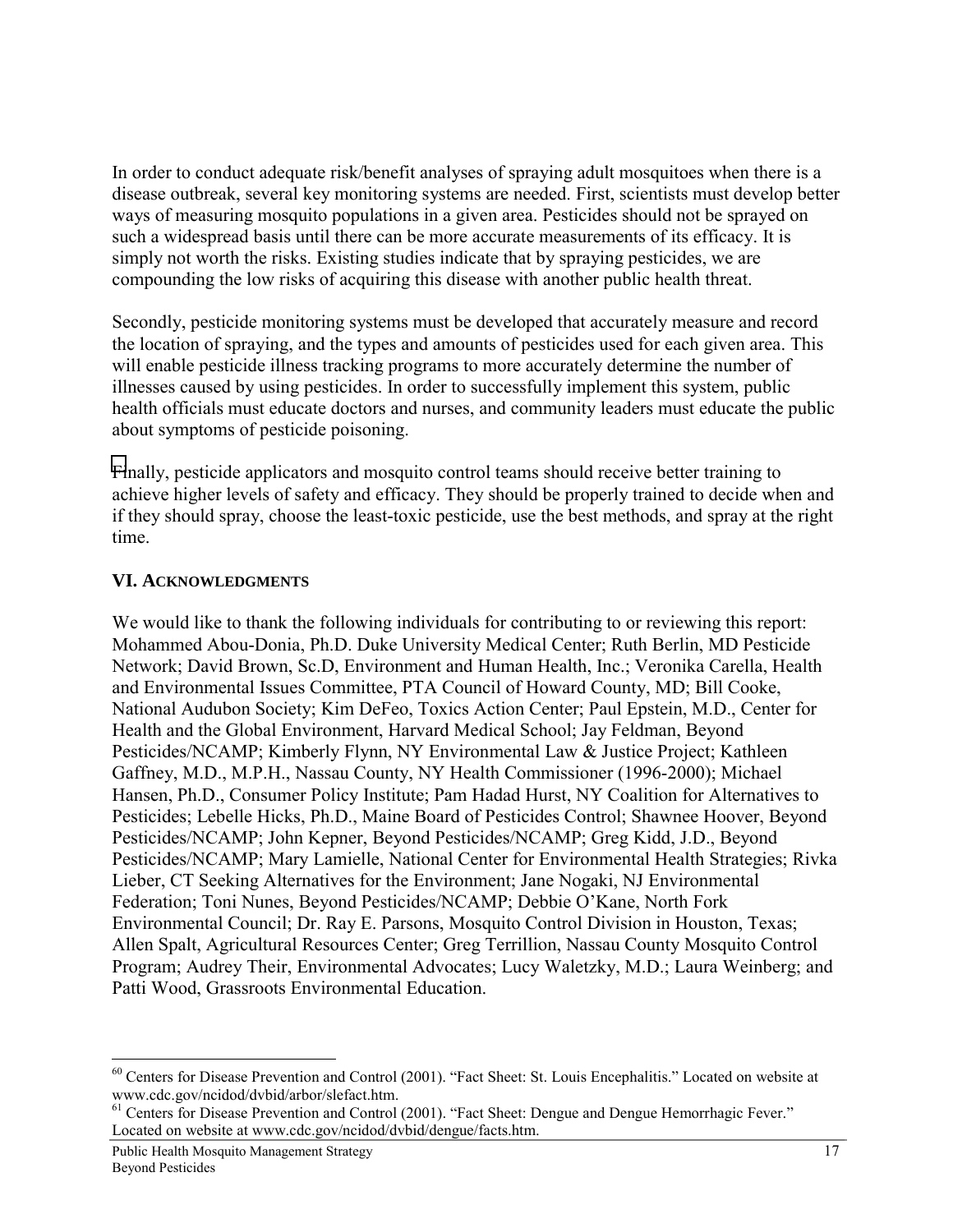In order to conduct adequate risk/benefit analyses of spraying adult mosquitoes when there is a disease outbreak, several key monitoring systems are needed. First, scientists must develop better ways of measuring mosquito populations in a given area. Pesticides should not be sprayed on such a widespread basis until there can be more accurate measurements of its efficacy. It is simply not worth the risks. Existing studies indicate that by spraying pesticides, we are compounding the low risks of acquiring this disease with another public health threat.

Secondly, pesticide monitoring systems must be developed that accurately measure and record the location of spraying, and the types and amounts of pesticides used for each given area. This will enable pesticide illness tracking programs to more accurately determine the number of illnesses caused by using pesticides. In order to successfully implement this system, public health officials must educate doctors and nurses, and community leaders must educate the public about symptoms of pesticide poisoning.

Finally, pesticide applicators and mosquito control teams should receive better training to achieve higher levels of safety and efficacy. They should be properly trained to decide when and if they should spray, choose the least-toxic pesticide, use the best methods, and spray at the right time.

## **VI. ACKNOWLEDGMENTS**

We would like to thank the following individuals for contributing to or reviewing this report: Mohammed Abou-Donia, Ph.D. Duke University Medical Center; Ruth Berlin, MD Pesticide Network; David Brown, Sc.D, Environment and Human Health, Inc.; Veronika Carella, Health and Environmental Issues Committee, PTA Council of Howard County, MD; Bill Cooke, National Audubon Society; Kim DeFeo, Toxics Action Center; Paul Epstein, M.D., Center for Health and the Global Environment, Harvard Medical School; Jay Feldman, Beyond Pesticides/NCAMP; Kimberly Flynn, NY Environmental Law & Justice Project; Kathleen Gaffney, M.D., M.P.H., Nassau County, NY Health Commissioner (1996-2000); Michael Hansen, Ph.D., Consumer Policy Institute; Pam Hadad Hurst, NY Coalition for Alternatives to Pesticides; Lebelle Hicks, Ph.D., Maine Board of Pesticides Control; Shawnee Hoover, Beyond Pesticides/NCAMP; John Kepner, Beyond Pesticides/NCAMP; Greg Kidd, J.D., Beyond Pesticides/NCAMP; Mary Lamielle, National Center for Environmental Health Strategies; Rivka Lieber, CT Seeking Alternatives for the Environment; Jane Nogaki, NJ Environmental Federation; Toni Nunes, Beyond Pesticides/NCAMP; Debbie O'Kane, North Fork Environmental Council; Dr. Ray E. Parsons, Mosquito Control Division in Houston, Texas; Allen Spalt, Agricultural Resources Center; Greg Terrillion, Nassau County Mosquito Control Program; Audrey Their, Environmental Advocates; Lucy Waletzky, M.D.; Laura Weinberg; and Patti Wood, Grassroots Environmental Education.

<sup>&</sup>lt;sup>60</sup> Centers for Disease Prevention and Control (2001). "Fact Sheet: St. Louis Encephalitis." Located on website at www.cdc.gov/ncidod/dvbid/arbor/slefact.htm.

<sup>&</sup>lt;sup>61</sup> Centers for Disease Prevention and Control (2001). "Fact Sheet: Dengue and Dengue Hemorrhagic Fever." Located on website at www.cdc.gov/ncidod/dvbid/dengue/facts.htm.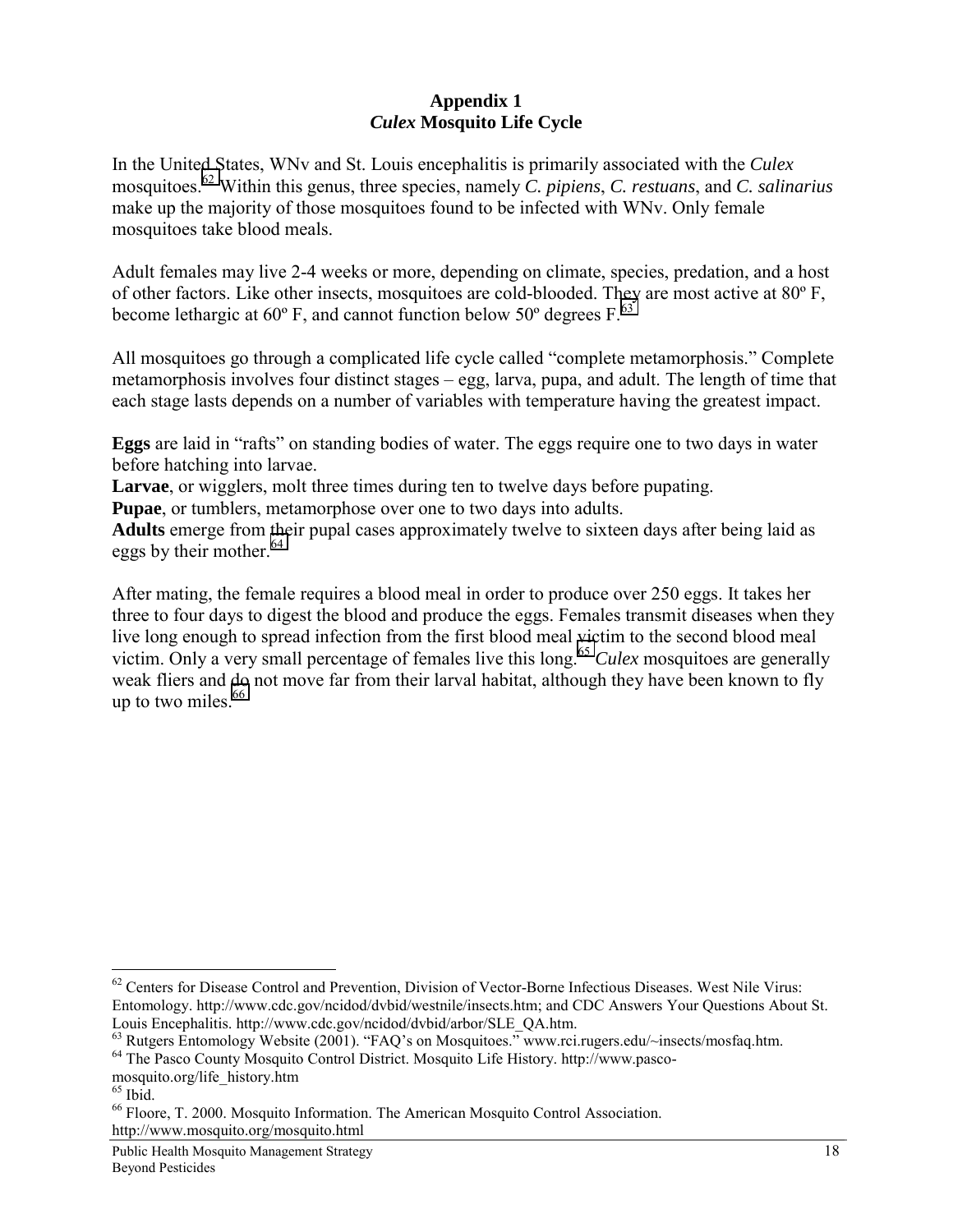### **Appendix 1**  *Culex* **Mosquito Life Cycle**

In the United States, WNv and St. Louis encephalitis is primarily associated with the *Culex* mosquitoes.62 Within this genus, three species, namely *C. pipiens*, *C. restuans*, and *C. salinarius* make up the majority of those mosquitoes found to be infected with WNv. Only female mosquitoes take blood meals.

Adult females may live 2-4 weeks or more, depending on climate, species, predation, and a host of other factors. Like other insects, mosquitoes are cold-blooded. They are most active at 80º F, become lethargic at  $60^{\circ}$  F, and cannot function below 50 $^{\circ}$  degrees F.<sup>63</sup>

All mosquitoes go through a complicated life cycle called "complete metamorphosis." Complete metamorphosis involves four distinct stages – egg, larva, pupa, and adult. The length of time that each stage lasts depends on a number of variables with temperature having the greatest impact.

**Eggs** are laid in "rafts" on standing bodies of water. The eggs require one to two days in water before hatching into larvae.

**Larvae**, or wigglers, molt three times during ten to twelve days before pupating.

**Pupae**, or tumblers, metamorphose over one to two days into adults.

**Adults** emerge from their pupal cases approximately twelve to sixteen days after being laid as eggs by their mother. $64$ 

After mating, the female requires a blood meal in order to produce over 250 eggs. It takes her three to four days to digest the blood and produce the eggs. Females transmit diseases when they live long enough to spread infection from the first blood meal victim to the second blood meal victim. Only a very small percentage of females live this long.<sup>65</sup> *Culex* mosquitoes are generally weak fliers and do not move far from their larval habitat, although they have been known to fly up to two miles. $66$ 

 $\overline{a}$ 

http://www.mosquito.org/mosquito.html

<sup>&</sup>lt;sup>62</sup> Centers for Disease Control and Prevention, Division of Vector-Borne Infectious Diseases. West Nile Virus: Entomology. http://www.cdc.gov/ncidod/dvbid/westnile/insects.htm; and CDC Answers Your Questions About St. Louis Encephalitis. http://www.cdc.gov/ncidod/dvbid/arbor/SLE\_QA.htm.

<sup>&</sup>lt;sup>63</sup> Rutgers Entomology Website (2001). "FAQ's on Mosquitoes." www.rci.rugers.edu/~insects/mosfaq.htm.

<sup>64</sup> The Pasco County Mosquito Control District. Mosquito Life History. http://www.pasco-

mosquito.org/life\_history.htm

 $65$  Ibid.

<sup>66</sup> Floore, T. 2000. Mosquito Information. The American Mosquito Control Association.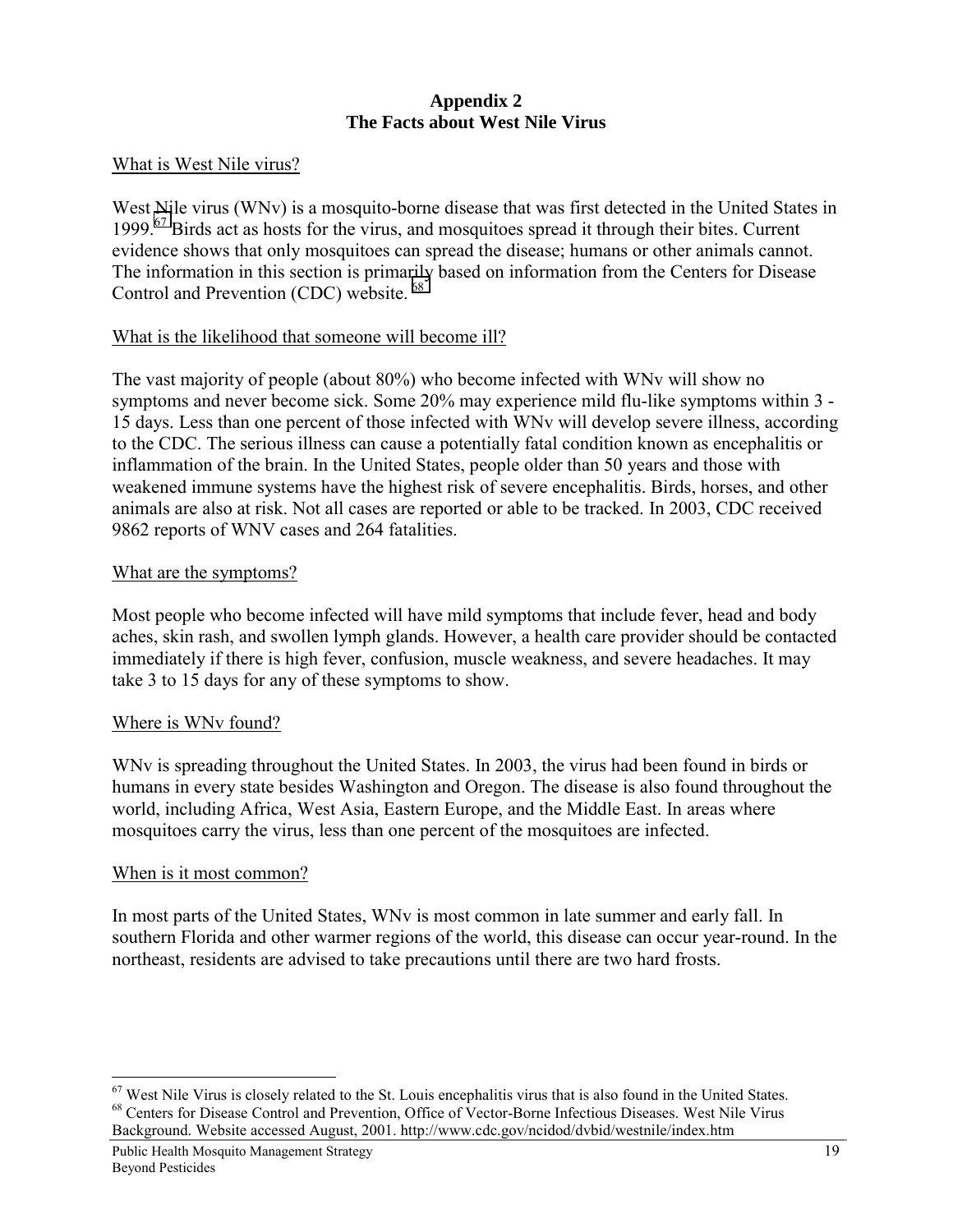### **Appendix 2 The Facts about West Nile Virus**

## What is West Nile virus?

West Nile virus (WNv) is a mosquito-borne disease that was first detected in the United States in 1999.<sup>67</sup> Birds act as hosts for the virus, and mosquitoes spread it through their bites. Current evidence shows that only mosquitoes can spread the disease; humans or other animals cannot. The information in this section is primarily based on information from the Centers for Disease Control and Prevention (CDC) website.  $68$ 

## What is the likelihood that someone will become ill?

The vast majority of people (about 80%) who become infected with WNv will show no symptoms and never become sick. Some 20% may experience mild flu-like symptoms within 3 - 15 days. Less than one percent of those infected with WNv will develop severe illness, according to the CDC. The serious illness can cause a potentially fatal condition known as encephalitis or inflammation of the brain. In the United States, people older than 50 years and those with weakened immune systems have the highest risk of severe encephalitis. Birds, horses, and other animals are also at risk. Not all cases are reported or able to be tracked. In 2003, CDC received 9862 reports of WNV cases and 264 fatalities.

### What are the symptoms?

Most people who become infected will have mild symptoms that include fever, head and body aches, skin rash, and swollen lymph glands. However, a health care provider should be contacted immediately if there is high fever, confusion, muscle weakness, and severe headaches. It may take 3 to 15 days for any of these symptoms to show.

### Where is WNv found?

WNv is spreading throughout the United States. In 2003, the virus had been found in birds or humans in every state besides Washington and Oregon. The disease is also found throughout the world, including Africa, West Asia, Eastern Europe, and the Middle East. In areas where mosquitoes carry the virus, less than one percent of the mosquitoes are infected.

### When is it most common?

 $\overline{a}$ 

In most parts of the United States, WNv is most common in late summer and early fall. In southern Florida and other warmer regions of the world, this disease can occur year-round. In the northeast, residents are advised to take precautions until there are two hard frosts.

 $67$  West Nile Virus is closely related to the St. Louis encephalitis virus that is also found in the United States. <sup>68</sup> Centers for Disease Control and Prevention, Office of Vector-Borne Infectious Diseases. West Nile Virus Background. Website accessed August, 2001. http://www.cdc.gov/ncidod/dvbid/westnile/index.htm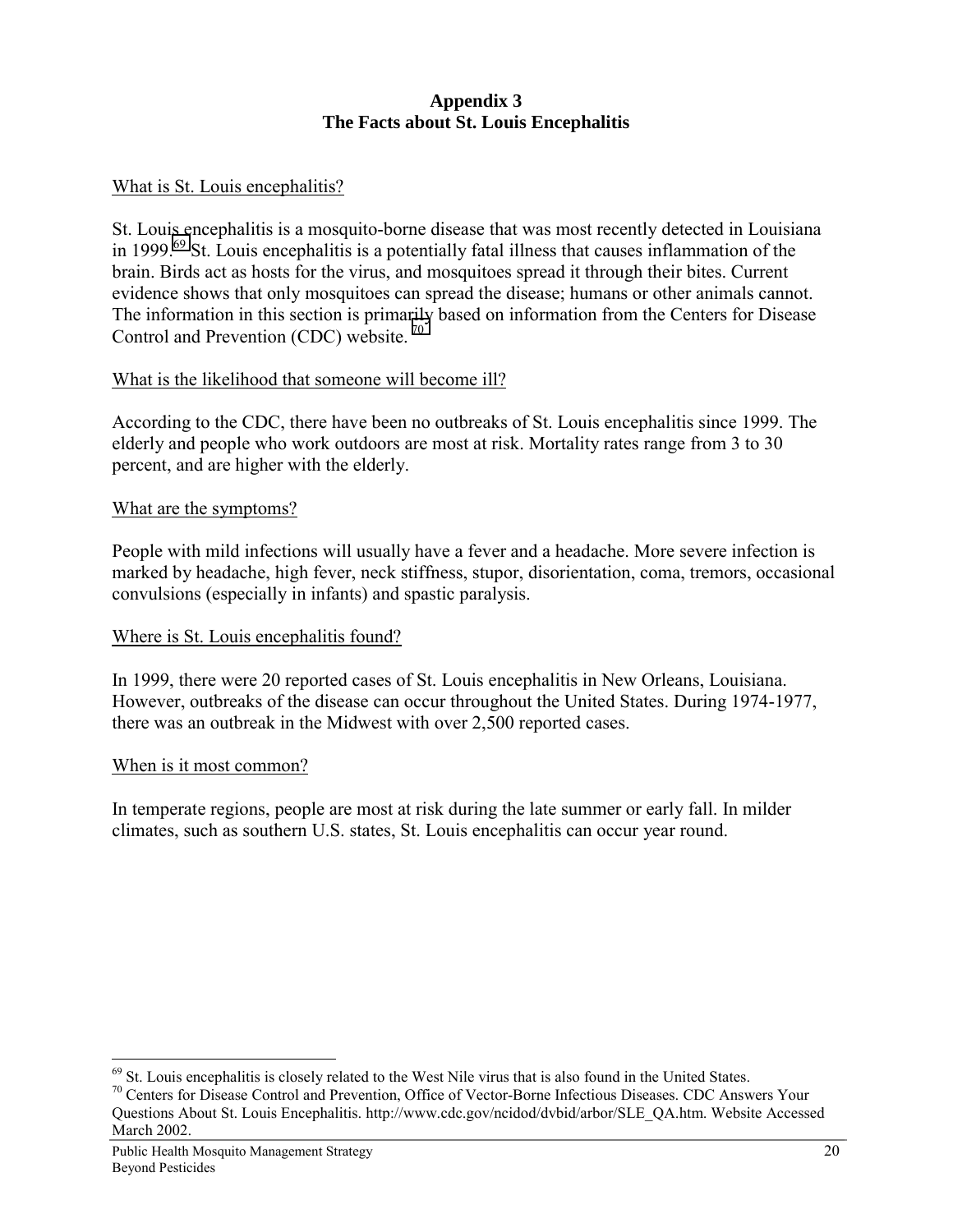## **Appendix 3 The Facts about St. Louis Encephalitis**

## What is St. Louis encephalitis?

St. Louis encephalitis is a mosquito-borne disease that was most recently detected in Louisiana in 1999.<sup>69</sup> St. Louis encephalitis is a potentially fatal illness that causes inflammation of the brain. Birds act as hosts for the virus, and mosquitoes spread it through their bites. Current evidence shows that only mosquitoes can spread the disease; humans or other animals cannot. The information in this section is primarily based on information from the Centers for Disease Control and Prevention (CDC) website.<sup>70</sup>

## What is the likelihood that someone will become ill?

According to the CDC, there have been no outbreaks of St. Louis encephalitis since 1999. The elderly and people who work outdoors are most at risk. Mortality rates range from 3 to 30 percent, and are higher with the elderly.

## What are the symptoms?

People with mild infections will usually have a fever and a headache. More severe infection is marked by headache, high fever, neck stiffness, stupor, disorientation, coma, tremors, occasional convulsions (especially in infants) and spastic paralysis.

## Where is St. Louis encephalitis found?

In 1999, there were 20 reported cases of St. Louis encephalitis in New Orleans, Louisiana. However, outbreaks of the disease can occur throughout the United States. During 1974-1977, there was an outbreak in the Midwest with over 2,500 reported cases.

### When is it most common?

In temperate regions, people are most at risk during the late summer or early fall. In milder climates, such as southern U.S. states, St. Louis encephalitis can occur year round.

 $69$  St. Louis encephalitis is closely related to the West Nile virus that is also found in the United States.

<sup>&</sup>lt;sup>70</sup> Centers for Disease Control and Prevention, Office of Vector-Borne Infectious Diseases. CDC Answers Your Questions About St. Louis Encephalitis. http://www.cdc.gov/ncidod/dvbid/arbor/SLE\_QA.htm. Website Accessed March 2002.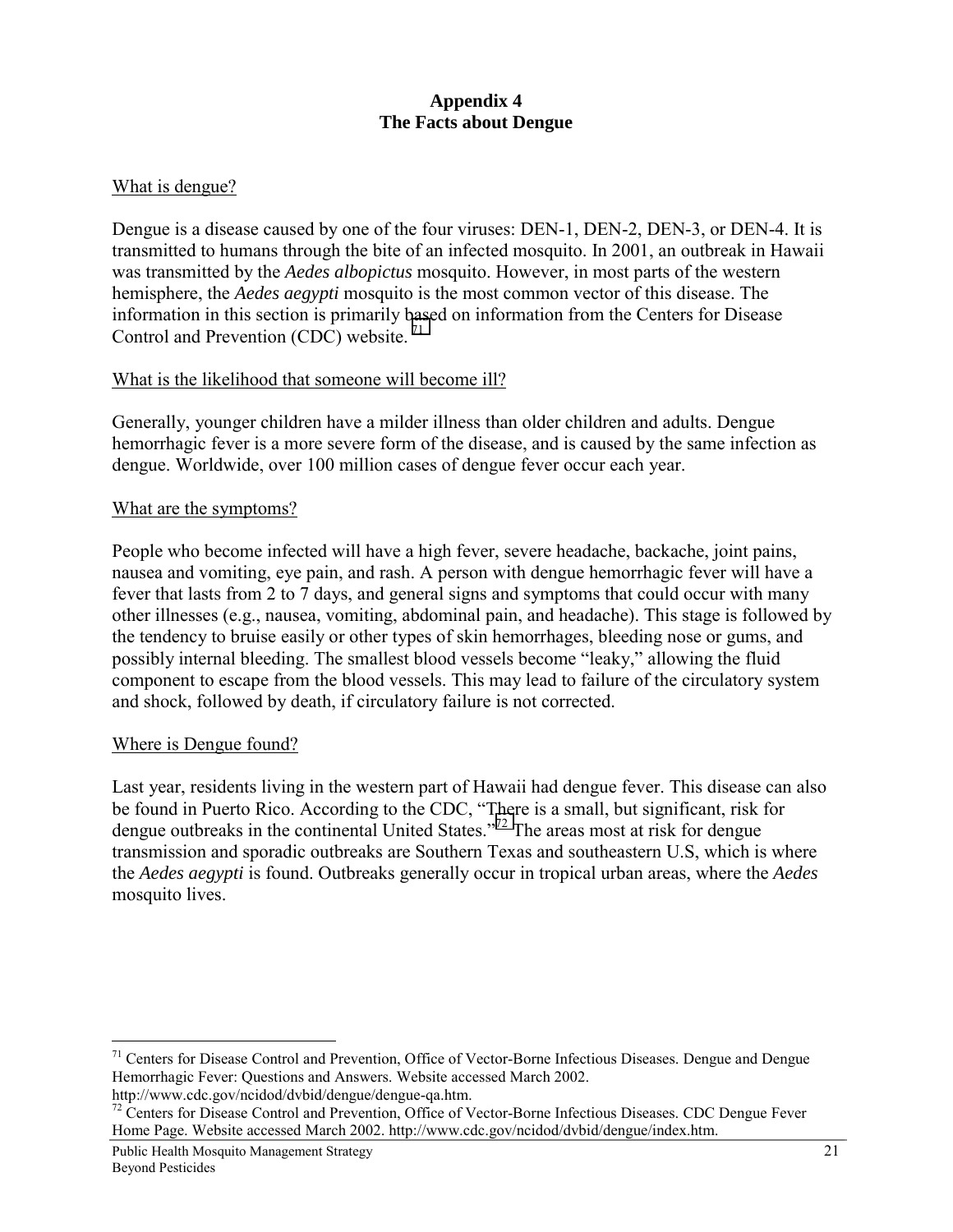## **Appendix 4 The Facts about Dengue**

### What is dengue?

Dengue is a disease caused by one of the four viruses: DEN-1, DEN-2, DEN-3, or DEN-4. It is transmitted to humans through the bite of an infected mosquito. In 2001, an outbreak in Hawaii was transmitted by the *Aedes albopictus* mosquito. However, in most parts of the western hemisphere, the *Aedes aegypti* mosquito is the most common vector of this disease. The information in this section is primarily based on information from the Centers for Disease Control and Prevention (CDC) website.<sup>71</sup>

### What is the likelihood that someone will become ill?

Generally, younger children have a milder illness than older children and adults. Dengue hemorrhagic fever is a more severe form of the disease, and is caused by the same infection as dengue. Worldwide, over 100 million cases of dengue fever occur each year.

#### What are the symptoms?

People who become infected will have a high fever, severe headache, backache, joint pains, nausea and vomiting, eye pain, and rash. A person with dengue hemorrhagic fever will have a fever that lasts from 2 to 7 days, and general signs and symptoms that could occur with many other illnesses (e.g., nausea, vomiting, abdominal pain, and headache). This stage is followed by the tendency to bruise easily or other types of skin hemorrhages, bleeding nose or gums, and possibly internal bleeding. The smallest blood vessels become "leaky," allowing the fluid component to escape from the blood vessels. This may lead to failure of the circulatory system and shock, followed by death, if circulatory failure is not corrected.

### Where is Dengue found?

 $\overline{a}$ 

Last year, residents living in the western part of Hawaii had dengue fever. This disease can also be found in Puerto Rico. According to the CDC, "There is a small, but significant, risk for dengue outbreaks in the continental United States."72 The areas most at risk for dengue transmission and sporadic outbreaks are Southern Texas and southeastern U.S, which is where the *Aedes aegypti* is found. Outbreaks generally occur in tropical urban areas, where the *Aedes* mosquito lives.

<sup>&</sup>lt;sup>71</sup> Centers for Disease Control and Prevention, Office of Vector-Borne Infectious Diseases. Dengue and Dengue Hemorrhagic Fever: Questions and Answers. Website accessed March 2002.<br>http://www.cdc.gov/ncidod/dvbid/dengue/dengue-qa.htm.

 $h^2$  Centers for Disease Control and Prevention, Office of Vector-Borne Infectious Diseases. CDC Dengue Fever Home Page. Website accessed March 2002. http://www.cdc.gov/ncidod/dvbid/dengue/index.htm.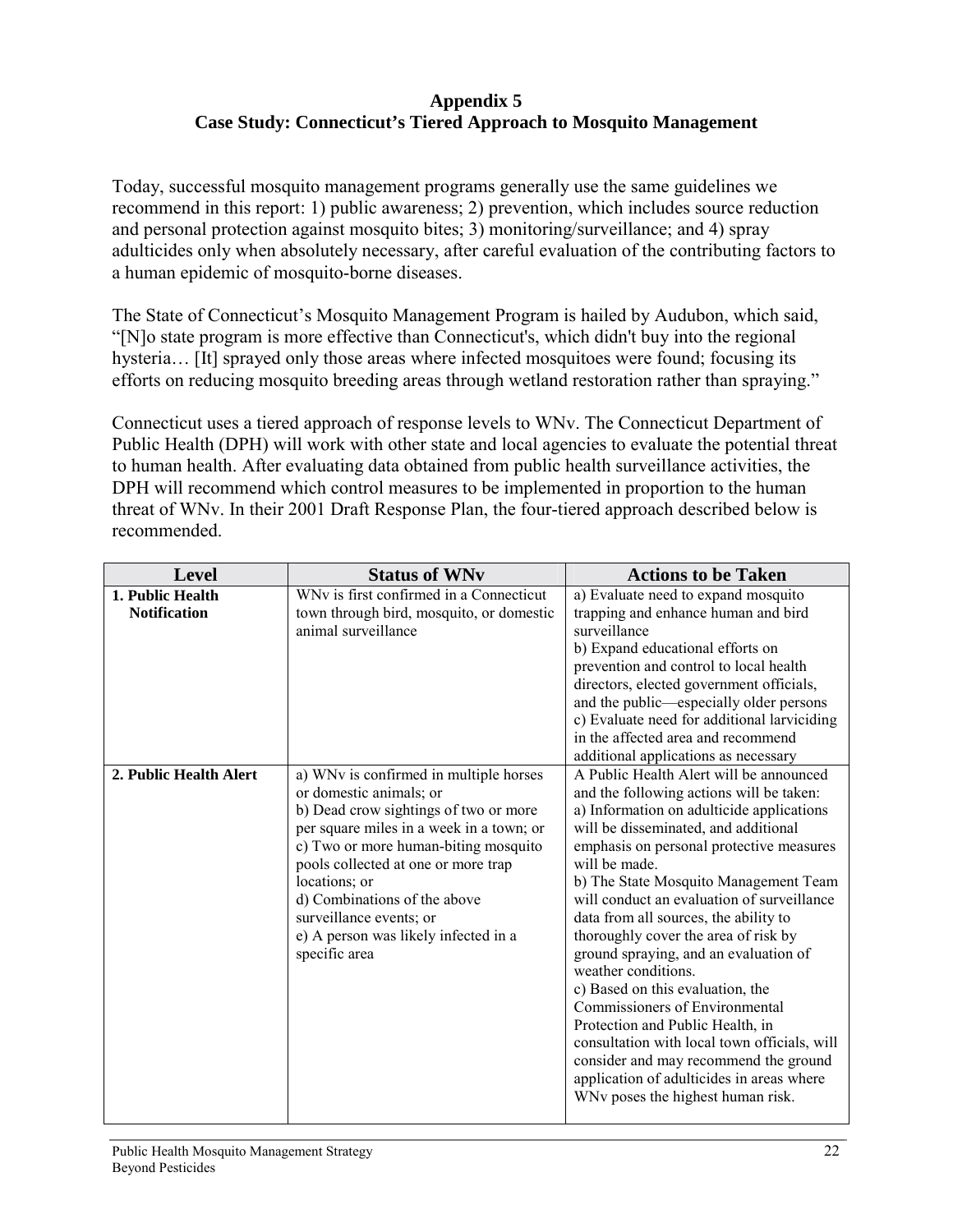## **Appendix 5 Case Study: Connecticut's Tiered Approach to Mosquito Management**

Today, successful mosquito management programs generally use the same guidelines we recommend in this report: 1) public awareness; 2) prevention, which includes source reduction and personal protection against mosquito bites; 3) monitoring/surveillance; and 4) spray adulticides only when absolutely necessary, after careful evaluation of the contributing factors to a human epidemic of mosquito-borne diseases.

The State of Connecticut's Mosquito Management Program is hailed by Audubon, which said, "[N]o state program is more effective than Connecticut's, which didn't buy into the regional hysteria... [It] sprayed only those areas where infected mosquitoes were found; focusing its efforts on reducing mosquito breeding areas through wetland restoration rather than spraying."

Connecticut uses a tiered approach of response levels to WNv. The Connecticut Department of Public Health (DPH) will work with other state and local agencies to evaluate the potential threat to human health. After evaluating data obtained from public health surveillance activities, the DPH will recommend which control measures to be implemented in proportion to the human threat of WNv. In their 2001 Draft Response Plan, the four-tiered approach described below is recommended.

| Level                  | <b>Status of WNv</b>                     | <b>Actions to be Taken</b>                                         |
|------------------------|------------------------------------------|--------------------------------------------------------------------|
| 1. Public Health       | WNv is first confirmed in a Connecticut  | a) Evaluate need to expand mosquito                                |
| <b>Notification</b>    | town through bird, mosquito, or domestic | trapping and enhance human and bird                                |
|                        | animal surveillance                      | surveillance                                                       |
|                        |                                          | b) Expand educational efforts on                                   |
|                        |                                          | prevention and control to local health                             |
|                        |                                          | directors, elected government officials,                           |
|                        |                                          | and the public—especially older persons                            |
|                        |                                          | c) Evaluate need for additional larviciding                        |
|                        |                                          | in the affected area and recommend                                 |
|                        |                                          | additional applications as necessary                               |
| 2. Public Health Alert | a) WNv is confirmed in multiple horses   | A Public Health Alert will be announced                            |
|                        | or domestic animals; or                  | and the following actions will be taken:                           |
|                        | b) Dead crow sightings of two or more    | a) Information on adulticide applications                          |
|                        | per square miles in a week in a town; or | will be disseminated, and additional                               |
|                        | c) Two or more human-biting mosquito     | emphasis on personal protective measures                           |
|                        | pools collected at one or more trap      | will be made.                                                      |
|                        | locations; or                            | b) The State Mosquito Management Team                              |
|                        | d) Combinations of the above             | will conduct an evaluation of surveillance                         |
|                        | surveillance events; or                  | data from all sources, the ability to                              |
|                        |                                          | thoroughly cover the area of risk by                               |
|                        | e) A person was likely infected in a     |                                                                    |
|                        | specific area                            | ground spraying, and an evaluation of<br>weather conditions.       |
|                        |                                          |                                                                    |
|                        |                                          | c) Based on this evaluation, the<br>Commissioners of Environmental |
|                        |                                          |                                                                    |
|                        |                                          | Protection and Public Health, in                                   |
|                        |                                          | consultation with local town officials, will                       |
|                        |                                          | consider and may recommend the ground                              |
|                        |                                          | application of adulticides in areas where                          |
|                        |                                          | WNv poses the highest human risk.                                  |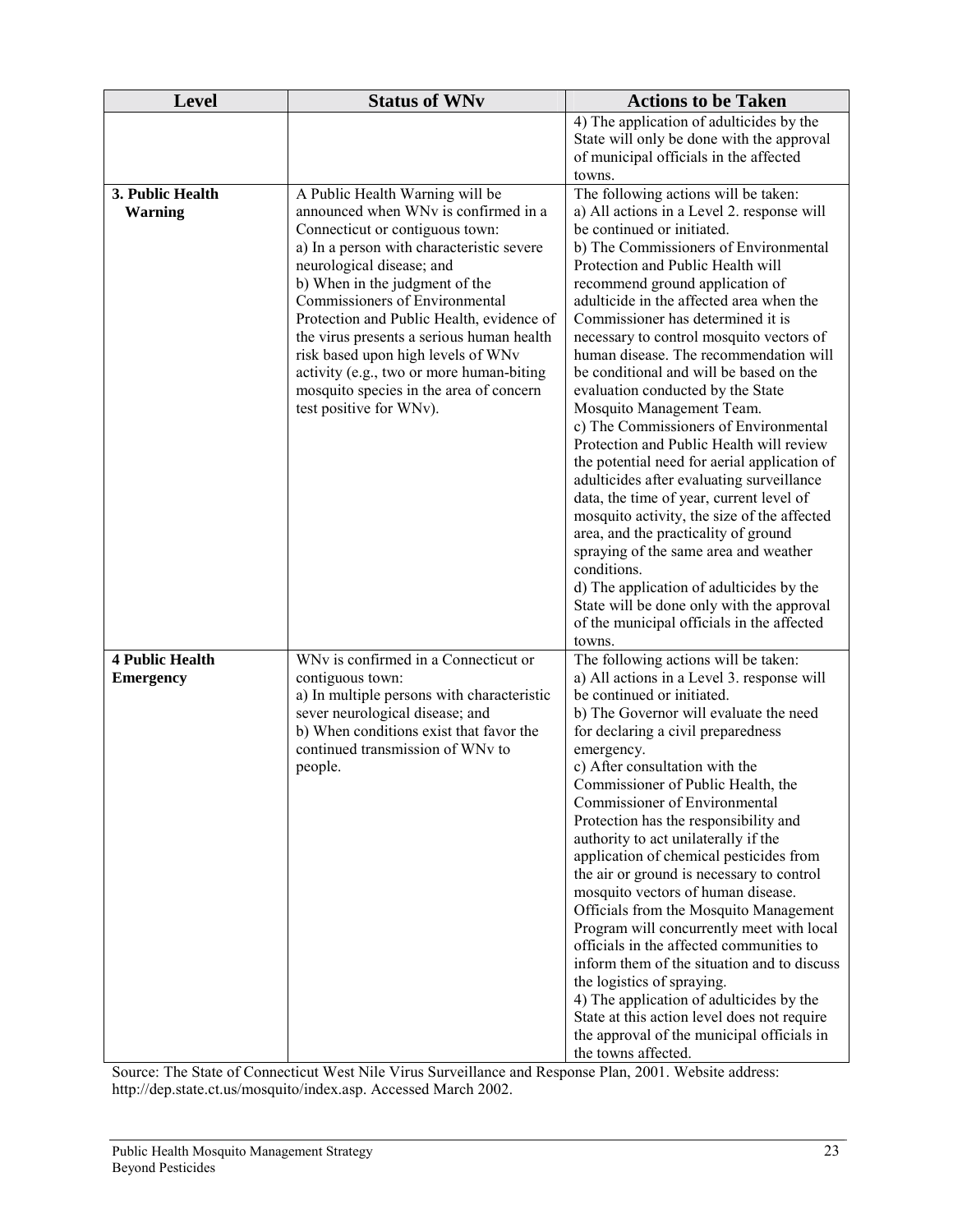| <b>Level</b>                               | <b>Status of WNv</b>                                                                                                                                                                                                                                                                                                 | <b>Actions to be Taken</b>                                                                                                                                                                                                                                                                                                                                                                                                                                                                                                                                                                                                                                                                                                                                                                                                                                                                                             |
|--------------------------------------------|----------------------------------------------------------------------------------------------------------------------------------------------------------------------------------------------------------------------------------------------------------------------------------------------------------------------|------------------------------------------------------------------------------------------------------------------------------------------------------------------------------------------------------------------------------------------------------------------------------------------------------------------------------------------------------------------------------------------------------------------------------------------------------------------------------------------------------------------------------------------------------------------------------------------------------------------------------------------------------------------------------------------------------------------------------------------------------------------------------------------------------------------------------------------------------------------------------------------------------------------------|
|                                            |                                                                                                                                                                                                                                                                                                                      | 4) The application of adulticides by the<br>State will only be done with the approval<br>of municipal officials in the affected                                                                                                                                                                                                                                                                                                                                                                                                                                                                                                                                                                                                                                                                                                                                                                                        |
| 3. Public Health<br><b>Warning</b>         | A Public Health Warning will be<br>announced when WNv is confirmed in a<br>Connecticut or contiguous town:<br>a) In a person with characteristic severe                                                                                                                                                              | towns.<br>The following actions will be taken:<br>a) All actions in a Level 2. response will<br>be continued or initiated.<br>b) The Commissioners of Environmental                                                                                                                                                                                                                                                                                                                                                                                                                                                                                                                                                                                                                                                                                                                                                    |
|                                            | neurological disease; and<br>b) When in the judgment of the<br>Commissioners of Environmental<br>Protection and Public Health, evidence of<br>the virus presents a serious human health<br>risk based upon high levels of WNv<br>activity (e.g., two or more human-biting<br>mosquito species in the area of concern | Protection and Public Health will<br>recommend ground application of<br>adulticide in the affected area when the<br>Commissioner has determined it is<br>necessary to control mosquito vectors of<br>human disease. The recommendation will<br>be conditional and will be based on the<br>evaluation conducted by the State                                                                                                                                                                                                                                                                                                                                                                                                                                                                                                                                                                                            |
|                                            | test positive for WNv).                                                                                                                                                                                                                                                                                              | Mosquito Management Team.<br>c) The Commissioners of Environmental<br>Protection and Public Health will review<br>the potential need for aerial application of<br>adulticides after evaluating surveillance<br>data, the time of year, current level of<br>mosquito activity, the size of the affected<br>area, and the practicality of ground<br>spraying of the same area and weather<br>conditions.<br>d) The application of adulticides by the                                                                                                                                                                                                                                                                                                                                                                                                                                                                     |
|                                            |                                                                                                                                                                                                                                                                                                                      | State will be done only with the approval<br>of the municipal officials in the affected<br>towns.                                                                                                                                                                                                                                                                                                                                                                                                                                                                                                                                                                                                                                                                                                                                                                                                                      |
| <b>4 Public Health</b><br><b>Emergency</b> | WNv is confirmed in a Connecticut or<br>contiguous town:<br>a) In multiple persons with characteristic<br>sever neurological disease; and<br>b) When conditions exist that favor the<br>continued transmission of WNv to<br>people.                                                                                  | The following actions will be taken:<br>a) All actions in a Level 3. response will<br>be continued or initiated.<br>b) The Governor will evaluate the need<br>for declaring a civil preparedness<br>emergency.<br>c) After consultation with the<br>Commissioner of Public Health, the<br>Commissioner of Environmental<br>Protection has the responsibility and<br>authority to act unilaterally if the<br>application of chemical pesticides from<br>the air or ground is necessary to control<br>mosquito vectors of human disease.<br>Officials from the Mosquito Management<br>Program will concurrently meet with local<br>officials in the affected communities to<br>inform them of the situation and to discuss<br>the logistics of spraying.<br>4) The application of adulticides by the<br>State at this action level does not require<br>the approval of the municipal officials in<br>the towns affected. |

Source: The State of Connecticut West Nile Virus Surveillance and Response Plan, 2001. Website address: http://dep.state.ct.us/mosquito/index.asp. Accessed March 2002.